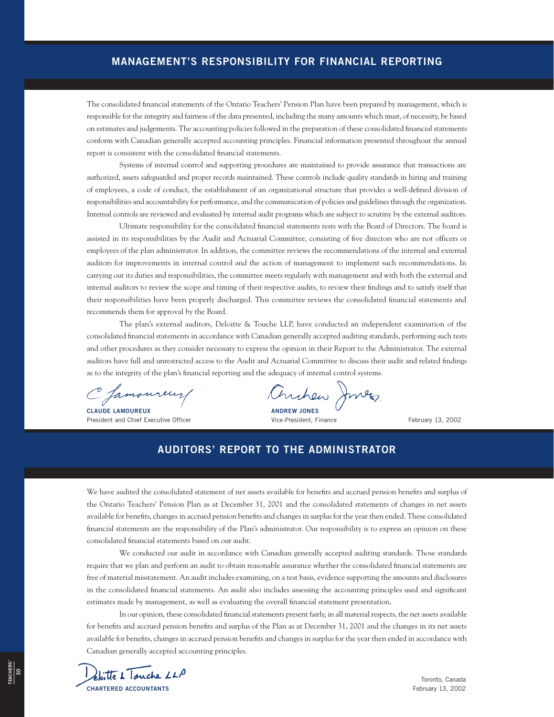## **MANAGEMENT'S RESPONSIBILITY FOR FINANCIAL REPORTING**

The consolidated financial statements of the Ontario Teachers' Pension Plan have been prepared by management, which is responsible for the integrity and fairness of the data presented, including the many amounts which must, of necessity, be based on estimates and judgements. The accounting policies followed in the preparation of these consolidated financial statements conform with Canadian generally accepted accounting principles. Financial information presented throughout the annual report is consistent with the consolidated financial statements.

Systems of internal control and supporting procedures are maintained to provide assurance that transactions are authorized, assets safeguarded and proper records maintained. These controls include quality standards in hiring and training of employees, a code of conduct, the establishment of an organizational structure that provides a well-defined division of responsibilities and accountability for performance, and the communication of policies and guidelines through the organization. Internal controls are reviewed and evaluated by internal audit programs which are subject to scrutiny by the external auditors.

Ultimate responsibility for the consolidated financial statements rests with the Board of Directors. The board is assisted in its responsibilities by the Audit and Actuarial Committee, consisting of five directors who are not officers or employees of the plan administrator. In addition, the committee reviews the recommendations of the internal and external auditors for improvements in internal control and the action of management to implement such recommendations. In carrying out its duties and responsibilities, the committee meets regularly with management and with both the external and internal auditors to review the scope and timing of their respective audits, to review their findings and to satisfy itself that their responsibilities have been properly discharged. This committee reviews the consolidated financial statements and recommends them for approval by the Board.

The plan's external auditors, Deloitte & Touche LLP, have conducted an independent examination of the consolidated financial statements in accordance with Canadian generally accepted auditing standards, performing such tests and other procedures as they consider necessary to express the opinion in their Report to the Administrator. The external auditors have full and unrestricted access to the Audit and Actuarial Committee to discuss their audit and related findings as to the integrity of the plan's financial reporting and the adequacy of internal control systems.

C famoureur

President and Chief Executive Officer Vice-President, Finance February 13, 2002

C famoureur/ Anchen Jones

## **AUDITORS' REPORT TO THE ADMINISTRATOR**

We have audited the consolidated statement of net assets available for benefits and accrued pension benefits and surplus of the Ontario Teachers' Pension Plan as at December 31, 2001 and the consolidated statements of changes in net assets available for benefits, changes in accrued pension benefits and changes in surplus for the year then ended. These consolidated financial statements are the responsibility of the Plan's administrator. Our responsibility is to express an opinion on these consolidated financial statements based on our audit.

We conducted our audit in accordance with Canadian generally accepted auditing standards. Those standards require that we plan and perform an audit to obtain reasonable assurance whether the consolidated financial statements are free of material misstatement. An audit includes examining, on a test basis, evidence supporting the amounts and disclosures in the consolidated financial statements. An audit also includes assessing the accounting principles used and significant estimates made by management, as well as evaluating the overall financial statement presentation.

In our opinion, these consolidated financial statements present fairly, in all material respects, the net assets available for benefits and accrued pension benefits and surplus of the Plan as at December 31, 2001 and the changes in its net assets available for benefits, changes in accrued pension benefits and changes in surplus for the year then ended in accordance with Canadian generally accepted accounting principles.



Toronto, Canada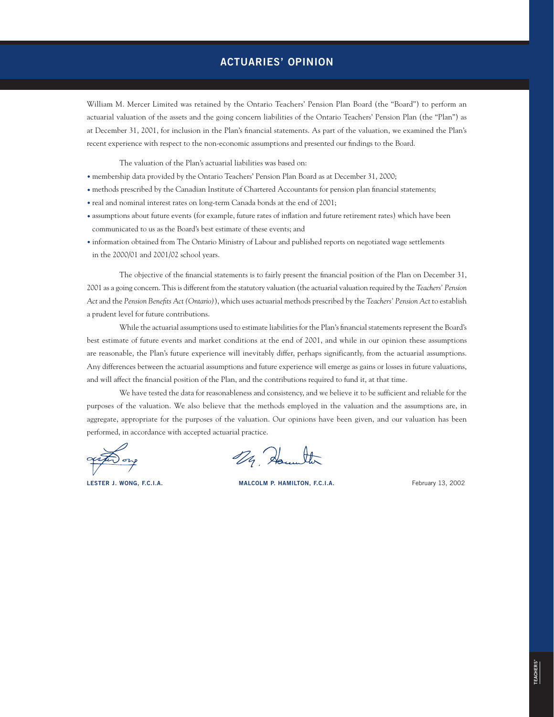## **ACTUARIES' OPINION**

William M. Mercer Limited was retained by the Ontario Teachers' Pension Plan Board (the "Board") to perform an actuarial valuation of the assets and the going concern liabilities of the Ontario Teachers' Pension Plan (the "Plan") as at December 31, 2001, for inclusion in the Plan's financial statements. As part of the valuation, we examined the Plan's recent experience with respect to the non-economic assumptions and presented our findings to the Board.

The valuation of the Plan's actuarial liabilities was based on:

- membership data provided by the Ontario Teachers' Pension Plan Board as at December 31, 2000;
- methods prescribed by the Canadian Institute of Chartered Accountants for pension plan financial statements;
- real and nominal interest rates on long-term Canada bonds at the end of 2001;
- assumptions about future events (for example, future rates of inflation and future retirement rates) which have been communicated to us as the Board's best estimate of these events; and
- information obtained from The Ontario Ministry of Labour and published reports on negotiated wage settlements in the 2000/01 and 2001/02 school years.

The objective of the financial statements is to fairly present the financial position of the Plan on December 31, 2001 as a going concern. This is different from the statutory valuation (the actuarial valuation required by the *Teachers' Pension Act* and the *Pension Benefits Act (Ontario)*), which uses actuarial methods prescribed by the *Teachers' Pension Act* to establish a prudent level for future contributions.

While the actuarial assumptions used to estimate liabilities for the Plan's financial statements represent the Board's best estimate of future events and market conditions at the end of 2001, and while in our opinion these assumptions are reasonable, the Plan's future experience will inevitably differ, perhaps significantly, from the actuarial assumptions. Any differences between the actuarial assumptions and future experience will emerge as gains or losses in future valuations, and will affect the financial position of the Plan, and the contributions required to fund it, at that time.

We have tested the data for reasonableness and consistency, and we believe it to be sufficient and reliable for the purposes of the valuation. We also believe that the methods employed in the valuation and the assumptions are, in aggregate, appropriate for the purposes of the valuation. Our opinions have been given, and our valuation has been performed, in accordance with accepted actuarial practice.

29. Hounter

**LESTER J. WONG, F.C.I.A. MALCOLM P. HAMILTON, F.C.I.A.** February 13, 2002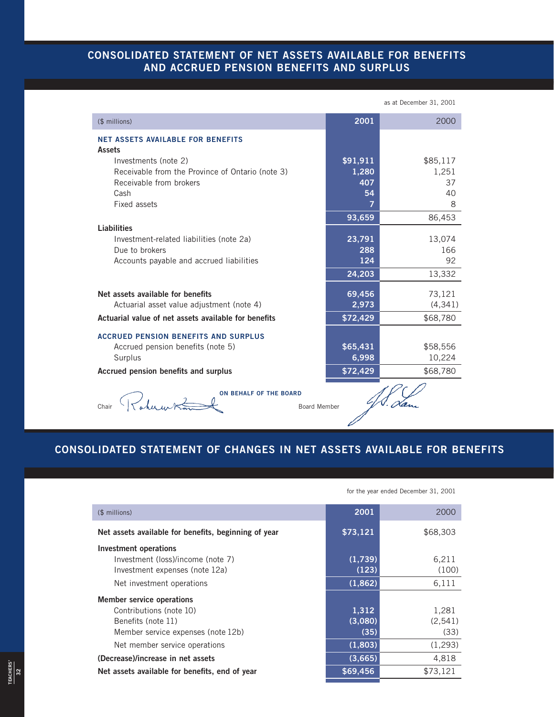## **CONSOLIDATED STATEMENT OF NET ASSETS AVAILABLE FOR BENEFITS AND ACCRUED PENSION BENEFITS AND SURPLUS**

|                                                           |          | as at December 31, 2001 |
|-----------------------------------------------------------|----------|-------------------------|
| (\$ millions)                                             | 2001     | 2000                    |
| <b>NET ASSETS AVAILABLE FOR BENEFITS</b><br><b>Assets</b> |          |                         |
| Investments (note 2)                                      | \$91,911 | \$85,117                |
| Receivable from the Province of Ontario (note 3)          | 1,280    | 1,251                   |
| Receivable from brokers                                   | 407      | 37                      |
| Cash                                                      | 54       | 40                      |
| Fixed assets                                              | 7        | 8                       |
|                                                           | 93,659   | 86,453                  |
| <b>Liabilities</b>                                        |          |                         |
| Investment-related liabilities (note 2a)                  | 23,791   | 13,074                  |
| Due to brokers                                            | 288      | 166                     |
| Accounts payable and accrued liabilities                  | 124      | 92                      |
|                                                           | 24,203   | 13,332                  |
| Net assets available for benefits                         | 69,456   | 73,121                  |
| Actuarial asset value adjustment (note 4)                 | 2,973    | (4, 341)                |
| Actuarial value of net assets available for benefits      | \$72,429 | \$68,780                |
| <b>ACCRUED PENSION BENEFITS AND SURPLUS</b>               |          |                         |
| Accrued pension benefits (note 5)                         | \$65,431 | \$58,556                |
| Surplus                                                   | 6,998    | 10,224                  |
| Accrued pension benefits and surplus                      | \$72,429 | \$68,780                |
|                                                           |          |                         |
| <b>ON BEHALF OF THE BOARD</b><br>Board Member<br>Chair    |          |                         |

# **CONSOLIDATED STATEMENT OF CHANGES IN NET ASSETS AVAILABLE FOR BENEFITS**

Í

|                                                                                                                                                          | for the year ended December 31, 2001 |                                      |  |
|----------------------------------------------------------------------------------------------------------------------------------------------------------|--------------------------------------|--------------------------------------|--|
| (\$ millions)                                                                                                                                            | 2001                                 | 2000                                 |  |
| Net assets available for benefits, beginning of year                                                                                                     | \$73,121                             | \$68,303                             |  |
| Investment operations<br>Investment (loss)/income (note 7)<br>Investment expenses (note 12a)                                                             | (1,739)<br>(123)                     | 6,211<br>(100)                       |  |
| Net investment operations                                                                                                                                | (1,862)                              | 6,111                                |  |
| <b>Member service operations</b><br>Contributions (note 10)<br>Benefits (note 11)<br>Member service expenses (note 12b)<br>Net member service operations | 1,312<br>(3,080)<br>(35)<br>(1,803)  | 1,281<br>(2, 541)<br>(33)<br>(1,293) |  |
| (Decrease)/increase in net assets                                                                                                                        | (3,665)                              | 4,818                                |  |
| \$69,456<br>Net assets available for benefits, end of year                                                                                               |                                      |                                      |  |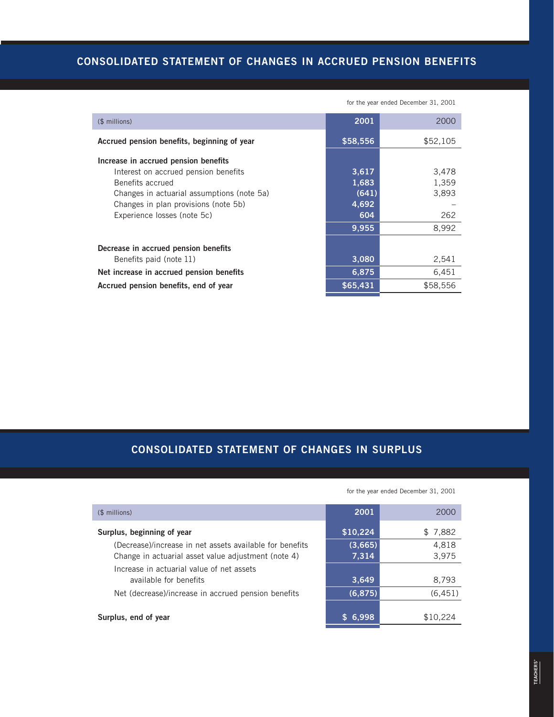# **CONSOLIDATED STATEMENT OF CHANGES IN ACCRUED PENSION BENEFITS**

|                                                                                                                                                | for the year ended December 31, 2001 |                         |  |
|------------------------------------------------------------------------------------------------------------------------------------------------|--------------------------------------|-------------------------|--|
| (\$ millions)                                                                                                                                  | 2001                                 | 2000                    |  |
| Accrued pension benefits, beginning of year                                                                                                    | \$58,556                             | \$52,105                |  |
| Increase in accrued pension benefits<br>Interest on accrued pension benefits<br>Benefits accrued<br>Changes in actuarial assumptions (note 5a) | 3,617<br>1,683<br>(641)              | 3,478<br>1,359<br>3,893 |  |
| Changes in plan provisions (note 5b)<br>Experience losses (note 5c)                                                                            | 4,692<br>604<br>9,955                | 262<br>8,992            |  |
| Decrease in accrued pension benefits<br>Benefits paid (note 11)                                                                                | 3,080                                | 2,541                   |  |
| 6,875<br>Net increase in accrued pension benefits                                                                                              |                                      | 6,451                   |  |
| Accrued pension benefits, end of year                                                                                                          | \$65,431                             | \$58,556                |  |

**CONSOLIDATED STATEMENT OF CHANGES IN SURPLUS** 

| (\$ millions)                                                       | 2001     | 2000     |
|---------------------------------------------------------------------|----------|----------|
| Surplus, beginning of year                                          | \$10,224 | \$7,882  |
| (Decrease)/increase in net assets available for benefits            | (3,665)  | 4,818    |
| Change in actuarial asset value adjustment (note 4)                 | 7,314    | 3,975    |
| Increase in actuarial value of net assets<br>available for benefits | 3,649    | 8,793    |
|                                                                     |          |          |
| Net (decrease)/increase in accrued pension benefits                 | (6, 875) | (6, 451) |
| Surplus, end of year                                                | 6,998    | \$10,224 |

for the year ended December 31, 2001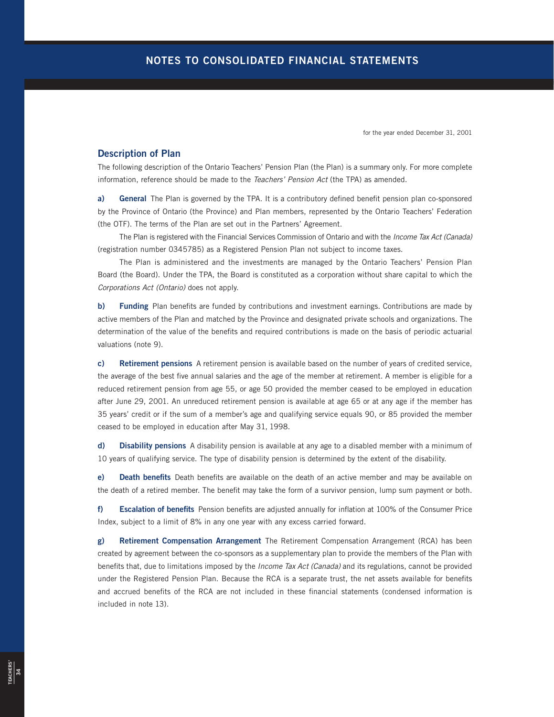for the year ended December 31, 2001

## **Description of Plan**

The following description of the Ontario Teachers' Pension Plan (the Plan) is a summary only. For more complete information, reference should be made to the Teachers' Pension Act (the TPA) as amended.

**a) General** The Plan is governed by the TPA. It is a contributory defined benefit pension plan co-sponsored by the Province of Ontario (the Province) and Plan members, represented by the Ontario Teachers' Federation (the OTF). The terms of the Plan are set out in the Partners' Agreement.

The Plan is registered with the Financial Services Commission of Ontario and with the Income Tax Act (Canada) (registration number 0345785) as a Registered Pension Plan not subject to income taxes.

The Plan is administered and the investments are managed by the Ontario Teachers' Pension Plan Board (the Board). Under the TPA, the Board is constituted as a corporation without share capital to which the Corporations Act (Ontario) does not apply.

**b) Funding** Plan benefits are funded by contributions and investment earnings. Contributions are made by active members of the Plan and matched by the Province and designated private schools and organizations. The determination of the value of the benefits and required contributions is made on the basis of periodic actuarial valuations (note 9).

**c) Retirement pensions** A retirement pension is available based on the number of years of credited service, the average of the best five annual salaries and the age of the member at retirement. A member is eligible for a reduced retirement pension from age 55, or age 50 provided the member ceased to be employed in education after June 29, 2001. An unreduced retirement pension is available at age 65 or at any age if the member has 35 years' credit or if the sum of a member's age and qualifying service equals 90, or 85 provided the member ceased to be employed in education after May 31, 1998.

**d) Disability pensions** A disability pension is available at any age to a disabled member with a minimum of 10 years of qualifying service. The type of disability pension is determined by the extent of the disability.

**e) Death benefits** Death benefits are available on the death of an active member and may be available on the death of a retired member. The benefit may take the form of a survivor pension, lump sum payment or both.

**f) Escalation of benefits** Pension benefits are adjusted annually for inflation at 100% of the Consumer Price Index, subject to a limit of 8% in any one year with any excess carried forward.

**g) Retirement Compensation Arrangement** The Retirement Compensation Arrangement (RCA) has been created by agreement between the co-sponsors as a supplementary plan to provide the members of the Plan with benefits that, due to limitations imposed by the *Income Tax Act (Canada)* and its regulations, cannot be provided under the Registered Pension Plan. Because the RCA is a separate trust, the net assets available for benefits and accrued benefits of the RCA are not included in these financial statements (condensed information is included in note 13).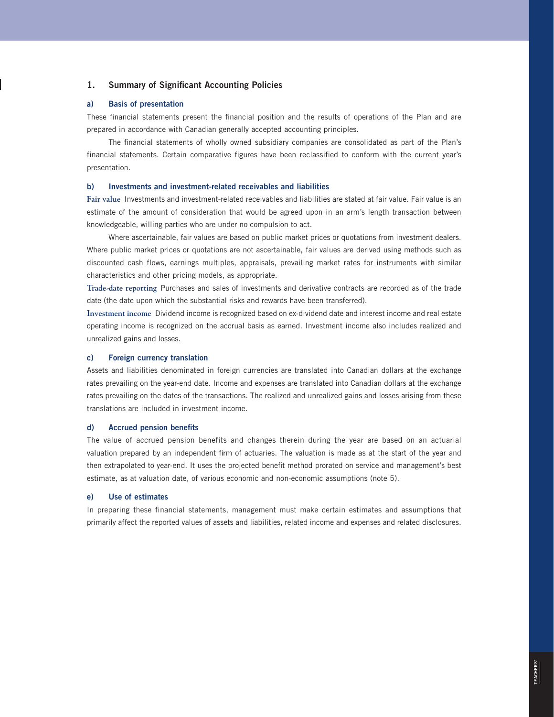## **1. Summary of Significant Accounting Policies**

#### **a) Basis of presentation**

These financial statements present the financial position and the results of operations of the Plan and are prepared in accordance with Canadian generally accepted accounting principles.

The financial statements of wholly owned subsidiary companies are consolidated as part of the Plan's financial statements. Certain comparative figures have been reclassified to conform with the current year's presentation.

## **b) Investments and investment-related receivables and liabilities**

**Fair value** Investments and investment-related receivables and liabilities are stated at fair value. Fair value is an estimate of the amount of consideration that would be agreed upon in an arm's length transaction between knowledgeable, willing parties who are under no compulsion to act.

Where ascertainable, fair values are based on public market prices or quotations from investment dealers. Where public market prices or quotations are not ascertainable, fair values are derived using methods such as discounted cash flows, earnings multiples, appraisals, prevailing market rates for instruments with similar characteristics and other pricing models, as appropriate.

**Trade-date reporting** Purchases and sales of investments and derivative contracts are recorded as of the trade date (the date upon which the substantial risks and rewards have been transferred).

**Investment income** Dividend income is recognized based on ex-dividend date and interest income and real estate operating income is recognized on the accrual basis as earned. Investment income also includes realized and unrealized gains and losses.

#### **c) Foreign currency translation**

Assets and liabilities denominated in foreign currencies are translated into Canadian dollars at the exchange rates prevailing on the year-end date. Income and expenses are translated into Canadian dollars at the exchange rates prevailing on the dates of the transactions. The realized and unrealized gains and losses arising from these translations are included in investment income.

#### **d) Accrued pension benefits**

The value of accrued pension benefits and changes therein during the year are based on an actuarial valuation prepared by an independent firm of actuaries. The valuation is made as at the start of the year and then extrapolated to year-end. It uses the projected benefit method prorated on service and management's best estimate, as at valuation date, of various economic and non-economic assumptions (note 5).

#### **e) Use of estimates**

In preparing these financial statements, management must make certain estimates and assumptions that primarily affect the reported values of assets and liabilities, related income and expenses and related disclosures.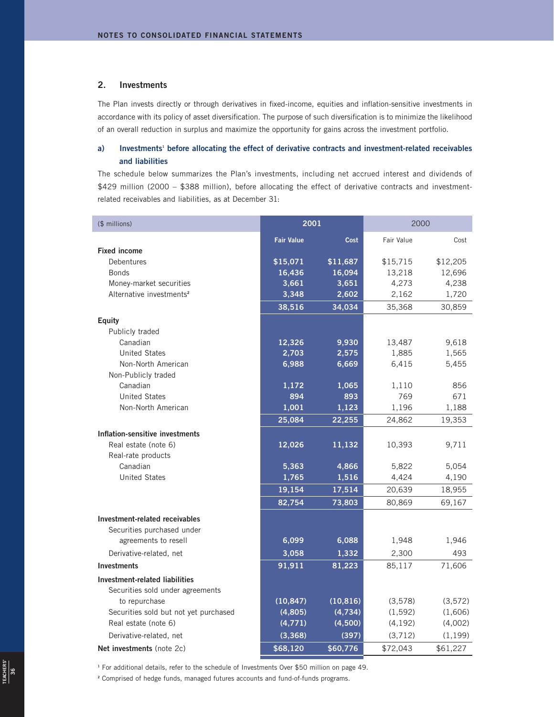## **2. Investments**

The Plan invests directly or through derivatives in fixed-income, equities and inflation-sensitive investments in accordance with its policy of asset diversification. The purpose of such diversification is to minimize the likelihood of an overall reduction in surplus and maximize the opportunity for gains across the investment portfolio.

## a) Investments<sup>1</sup> before allocating the effect of derivative contracts and investment-related receivables **and liabilities**

The schedule below summarizes the Plan's investments, including net accrued interest and dividends of \$429 million (2000 – \$388 million), before allocating the effect of derivative contracts and investmentrelated receivables and liabilities, as at December 31:

| (\$ millions)                             | 2001              |           | 2000       |          |
|-------------------------------------------|-------------------|-----------|------------|----------|
|                                           | <b>Fair Value</b> | Cost      | Fair Value | Cost     |
| <b>Fixed income</b>                       |                   |           |            |          |
| Debentures                                | \$15,071          | \$11,687  | \$15,715   | \$12,205 |
| <b>Bonds</b>                              | 16,436            | 16,094    | 13,218     | 12,696   |
| Money-market securities                   | 3,661             | 3,651     | 4,273      | 4,238    |
| Alternative investments <sup>2</sup>      | 3,348             | 2,602     | 2,162      | 1,720    |
|                                           | 38,516            | 34,034    | 35,368     | 30,859   |
| <b>Equity</b>                             |                   |           |            |          |
| Publicly traded                           |                   |           |            |          |
| Canadian                                  | 12,326            | 9,930     | 13,487     | 9,618    |
| <b>United States</b>                      | 2,703             | 2,575     | 1,885      | 1,565    |
| Non-North American<br>Non-Publicly traded | 6,988             | 6,669     | 6,415      | 5,455    |
| Canadian                                  | 1,172             | 1,065     | 1,110      | 856      |
| <b>United States</b>                      | 894               | 893       | 769        | 671      |
| Non-North American                        | 1,001             | 1,123     | 1,196      | 1,188    |
|                                           | 25,084            | 22,255    | 24,862     | 19,353   |
| Inflation-sensitive investments           |                   |           |            |          |
| Real estate (note 6)                      | 12,026            | 11,132    | 10,393     | 9,711    |
| Real-rate products                        |                   |           |            |          |
| Canadian                                  | 5,363             | 4,866     | 5,822      | 5,054    |
| <b>United States</b>                      | 1,765             | 1,516     | 4,424      | 4,190    |
|                                           | 19,154            | 17,514    | 20,639     | 18,955   |
|                                           | 82,754            | 73,803    | 80,869     | 69,167   |
| Investment-related receivables            |                   |           |            |          |
| Securities purchased under                |                   |           |            |          |
| agreements to resell                      | 6,099             | 6,088     | 1,948      | 1,946    |
| Derivative-related, net                   | 3,058             | 1,332     | 2,300      | 493      |
| <b>Investments</b>                        | 91,911            | 81,223    | 85,117     | 71,606   |
| Investment-related liabilities            |                   |           |            |          |
| Securities sold under agreements          |                   |           |            |          |
| to repurchase                             | (10, 847)         | (10, 816) | (3,578)    | (3, 572) |
| Securities sold but not yet purchased     | (4, 805)          | (4,734)   | (1, 592)   | (1,606)  |
| Real estate (note 6)                      | (4,771)           | (4,500)   | (4, 192)   | (4,002)  |
| Derivative-related, net                   | (3,368)           | (397)     | (3,712)    | (1, 199) |
| Net investments (note 2c)                 | \$68,120          | \$60,776  | \$72,043   | \$61,227 |

<sup>1</sup> For additional details, refer to the schedule of Investments Over \$50 million on page 49.

**<sup>2</sup>** Comprised of hedge funds, managed futures accounts and fund-of-funds programs.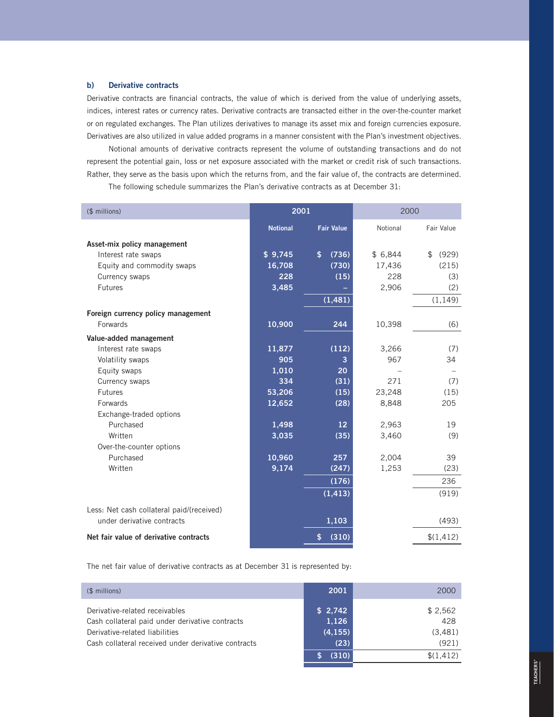### **b) Derivative contracts**

Derivative contracts are financial contracts, the value of which is derived from the value of underlying assets, indices, interest rates or currency rates. Derivative contracts are transacted either in the over-the-counter market or on regulated exchanges. The Plan utilizes derivatives to manage its asset mix and foreign currencies exposure. Derivatives are also utilized in value added programs in a manner consistent with the Plan's investment objectives.

Notional amounts of derivative contracts represent the volume of outstanding transactions and do not represent the potential gain, loss or net exposure associated with the market or credit risk of such transactions. Rather, they serve as the basis upon which the returns from, and the fair value of, the contracts are determined. The following schedule summarizes the Plan's derivative contracts as at December 31:

| (\$ millions)                             | 2001            |                   | 2000     |                         |
|-------------------------------------------|-----------------|-------------------|----------|-------------------------|
|                                           | <b>Notional</b> | <b>Fair Value</b> | Notional | Fair Value              |
| Asset-mix policy management               |                 |                   |          |                         |
| Interest rate swaps                       | \$9,745         | \$<br>(736)       | \$6,844  | $\mathfrak{P}$<br>(929) |
| Equity and commodity swaps                | 16,708          | (730)             | 17,436   | (215)                   |
| Currency swaps                            | 228             | (15)              | 228      | (3)                     |
| <b>Futures</b>                            | 3,485           |                   | 2,906    | (2)                     |
|                                           |                 | (1, 481)          |          | (1, 149)                |
| Foreign currency policy management        |                 |                   |          |                         |
| Forwards                                  | 10,900          | 244               | 10,398   | (6)                     |
| Value-added management                    |                 |                   |          |                         |
| Interest rate swaps                       | 11,877          | (112)             | 3,266    | (7)                     |
| Volatility swaps                          | 905             | 3                 | 967      | 34                      |
| Equity swaps                              | 1,010           | 20                |          |                         |
| Currency swaps                            | 334             | (31)              | 271      | (7)                     |
| Futures                                   | 53,206          | (15)              | 23,248   | (15)                    |
| Forwards                                  | 12,652          | (28)              | 8,848    | 205                     |
| Exchange-traded options                   |                 |                   |          |                         |
| Purchased                                 | 1,498           | 12 <sup>2</sup>   | 2,963    | 19                      |
| Written                                   | 3,035           | (35)              | 3,460    | (9)                     |
| Over-the-counter options                  |                 |                   |          |                         |
| Purchased                                 | 10,960          | 257               | 2,004    | 39                      |
| Written                                   | 9,174           | (247)             | 1,253    | (23)                    |
|                                           |                 | (176)             |          | 236                     |
|                                           |                 | (1, 413)          |          | (919)                   |
| Less: Net cash collateral paid/(received) |                 |                   |          |                         |
| under derivative contracts                |                 | 1,103             |          | (493)                   |
| Net fair value of derivative contracts    |                 | (310)<br>\$       |          | \$(1,412)               |

The net fair value of derivative contracts as at December 31 is represented by:

| $$$ millions)                                       | 2001     | 2000      |
|-----------------------------------------------------|----------|-----------|
| Derivative-related receivables                      | \$2,742  | \$2,562   |
| Cash collateral paid under derivative contracts     | 1,126    | 428       |
| Derivative-related liabilities                      | (4, 155) | (3,481)   |
| Cash collateral received under derivative contracts | (23)     | (921)     |
|                                                     | (310)    | \$(1.412) |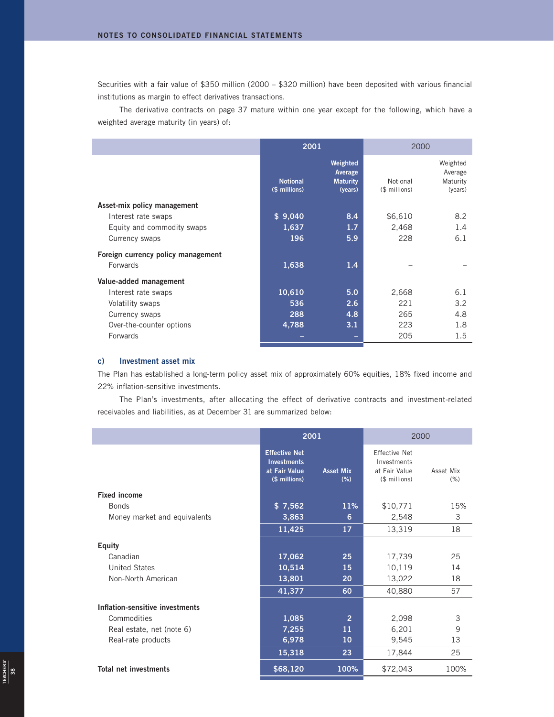Securities with a fair value of \$350 million (2000 – \$320 million) have been deposited with various financial institutions as margin to effect derivatives transactions.

The derivative contracts on page 37 mature within one year except for the following, which have a weighted average maturity (in years) of:

|                                    | 2001                             |                                                   | 2000                      |                                            |
|------------------------------------|----------------------------------|---------------------------------------------------|---------------------------|--------------------------------------------|
|                                    | <b>Notional</b><br>(\$ millions) | Weighted<br>Average<br><b>Maturity</b><br>(years) | Notional<br>(\$ millions) | Weighted<br>Average<br>Maturity<br>(years) |
| Asset-mix policy management        |                                  |                                                   |                           |                                            |
| Interest rate swaps                | \$9,040                          | 8.4                                               | \$6,610                   | 8.2                                        |
| Equity and commodity swaps         | 1,637                            | 1.7 <sub>z</sub>                                  | 2,468                     | 1.4                                        |
| Currency swaps                     | 196                              | 5.9                                               | 228                       | 6.1                                        |
| Foreign currency policy management |                                  |                                                   |                           |                                            |
| <b>Forwards</b>                    | 1,638                            | 1.4                                               |                           |                                            |
| Value-added management             |                                  |                                                   |                           |                                            |
| Interest rate swaps                | 10,610                           | 5.0                                               | 2,668                     | 6.1                                        |
| Volatility swaps                   | 536                              | 2.6                                               | 221                       | 3.2                                        |
| Currency swaps                     | 288                              | 4.8                                               | 265                       | 4.8                                        |
| Over-the-counter options           | 4,788                            | 3.1                                               | 223                       | 1.8                                        |
| Forwards                           |                                  |                                                   | 205                       | 1.5                                        |
|                                    |                                  |                                                   |                           |                                            |

## **c) Investment asset mix**

**TEACHERS'** EACHERS' The Plan has established a long-term policy asset mix of approximately 60% equities, 18% fixed income and 22% inflation-sensitive investments.

The Plan's investments, after allocating the effect of derivative contracts and investment-related receivables and liabilities, as at December 31 are summarized below:

|                                 | 2001                                                                         |                         | 2000                                                                  |                   |
|---------------------------------|------------------------------------------------------------------------------|-------------------------|-----------------------------------------------------------------------|-------------------|
|                                 | <b>Effective Net</b><br><b>Investments</b><br>at Fair Value<br>(\$ millions) | <b>Asset Mix</b><br>(%) | <b>Effective Net</b><br>Investments<br>at Fair Value<br>(\$ millions) | Asset Mix<br>(% ) |
| <b>Fixed income</b>             |                                                                              |                         |                                                                       |                   |
| <b>Bonds</b>                    | \$7,562                                                                      | <b>11%</b>              | \$10,771                                                              | 15%               |
| Money market and equivalents    | 3,863                                                                        | 6                       | 2,548                                                                 | 3                 |
|                                 | 11,425                                                                       | 17                      | 13,319                                                                | 18                |
| <b>Equity</b>                   |                                                                              |                         |                                                                       |                   |
| Canadian                        | 17,062                                                                       | 25                      | 17,739                                                                | 25                |
| <b>United States</b>            | 10,514                                                                       | 15                      | 10,119                                                                | 14                |
| Non-North American              | 13,801                                                                       | 20                      | 13,022                                                                | 18                |
|                                 | 41,377                                                                       | 60                      | 40,880                                                                | 57                |
| Inflation-sensitive investments |                                                                              |                         |                                                                       |                   |
| Commodities                     | 1,085                                                                        | $\overline{2}$          | 2,098                                                                 | 3                 |
| Real estate, net (note 6)       | 7,255                                                                        | 11                      | 6,201                                                                 | 9                 |
| Real-rate products              | 6,978                                                                        | 10                      | 9,545                                                                 | 13                |
|                                 | 15,318                                                                       | 23                      | 17,844                                                                | 25                |
| <b>Total net investments</b>    | \$68,120                                                                     | 100%                    | \$72,043                                                              | 100%              |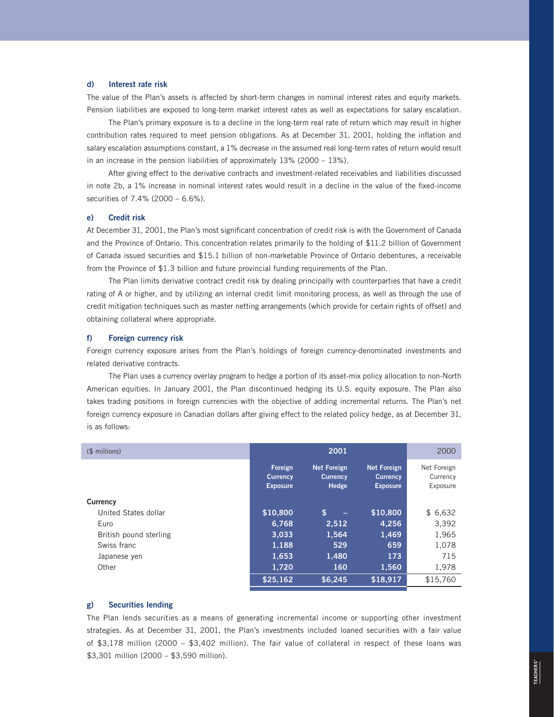#### **d) Interest rate risk**

The value of the Plan's assets is affected by short-term changes in nominal interest rates and equity markets. Pension liabilities are exposed to long-term market interest rates as well as expectations for salary escalation.

The Plan's primary exposure is to a decline in the long-term real rate of return which may result in higher contribution rates required to meet pension obligations. As at December 31, 2001, holding the inflation and salary escalation assumptions constant, a 1% decrease in the assumed real long-term rates of return would result in an increase in the pension liabilities of approximately 13% (2000 – 13%).

After giving effect to the derivative contracts and investment-related receivables and liabilities discussed in note 2b, a 1% increase in nominal interest rates would result in a decline in the value of the fixed-income securities of 7.4% (2000 – 6.6%).

#### **e) Credit risk**

At December 31, 2001, the Plan's most significant concentration of credit risk is with the Government of Canada and the Province of Ontario. This concentration relates primarily to the holding of \$11.2 billion of Government of Canada issued securities and \$15.1 billion of non-marketable Province of Ontario debentures, a receivable from the Province of \$1.3 billion and future provincial funding requirements of the Plan.

The Plan limits derivative contract credit risk by dealing principally with counterparties that have a credit rating of A or higher, and by utilizing an internal credit limit monitoring process, as well as through the use of credit mitigation techniques such as master netting arrangements (which provide for certain rights of offset) and obtaining collateral where appropriate.

#### **f) Foreign currency risk**

Foreign currency exposure arises from the Plan's holdings of foreign currency-denominated investments and related derivative contracts.

The Plan uses a currency overlay program to hedge a portion of its asset-mix policy allocation to non-North American equities. In January 2001, the Plan discontinued hedging its U.S. equity exposure. The Plan also takes trading positions in foreign currencies with the objective of adding incremental returns. The Plan's net foreign currency exposure in Canadian dollars after giving effect to the related policy hedge, as at December 31, is as follows:

| (\$ millions)          |                                               | 2001                                           |                                                          | 2000                                |
|------------------------|-----------------------------------------------|------------------------------------------------|----------------------------------------------------------|-------------------------------------|
|                        | Foreign<br><b>Currency</b><br><b>Exposure</b> | <b>Net Foreign</b><br><b>Currency</b><br>Hedge | <b>Net Foreign</b><br><b>Currency</b><br><b>Exposure</b> | Net Foreign<br>Currency<br>Exposure |
| Currency               |                                               |                                                |                                                          |                                     |
| United States dollar   | \$10,800                                      | \$<br>$\equiv$                                 | \$10,800                                                 | \$6,632                             |
| Euro                   | 6.768                                         | 2,512                                          | 4,256                                                    | 3,392                               |
| British pound sterling | 3.033                                         | 1,564                                          | 1,469                                                    | 1,965                               |
| Swiss franc            | 1,188                                         | 529                                            | 659                                                      | 1,078                               |
| Japanese yen           | 1,653                                         | 1,480                                          | 173                                                      | 715                                 |
| Other                  | 1,720                                         | 160                                            | 1,560                                                    | 1,978                               |
|                        | \$25,162                                      | \$6.245                                        | \$18.917                                                 | \$15,760                            |

#### **g) Securities lending**

The Plan lends securities as a means of generating incremental income or supporting other investment strategies. As at December 31, 2001, the Plan's investments included loaned securities with a fair value of \$3,178 million (2000 – \$3,402 million). The fair value of collateral in respect of these loans was \$3,301 million (2000 – \$3,590 million).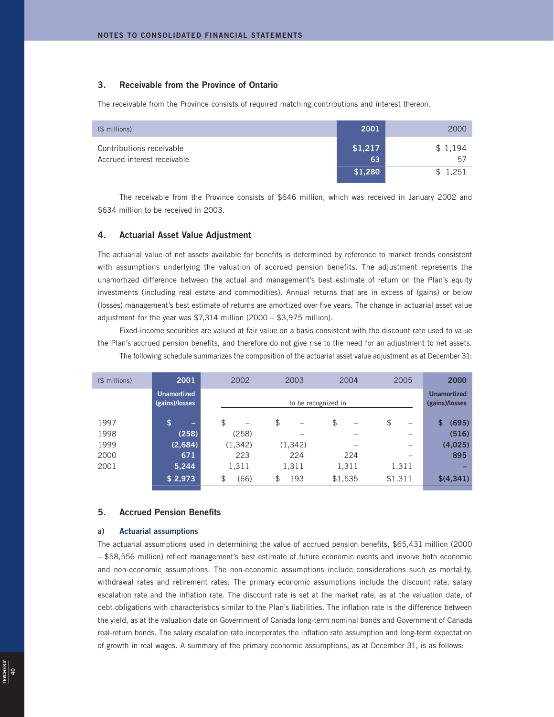## **3. Receivable from the Province of Ontario**

The receivable from the Province consists of required matching contributions and interest thereon.

| (\$ millions)                                           | 2001          | 2000          |
|---------------------------------------------------------|---------------|---------------|
| Contributions receivable<br>Accrued interest receivable | \$1,217<br>63 | \$1,194<br>57 |
|                                                         | \$1,280       | \$1,251       |

The receivable from the Province consists of \$646 million, which was received in January 2002 and \$634 million to be received in 2003.

#### **4. Actuarial Asset Value Adjustment**

The actuarial value of net assets available for benefits is determined by reference to market trends consistent with assumptions underlying the valuation of accrued pension benefits. The adjustment represents the unamortized difference between the actual and management's best estimate of return on the Plan's equity investments (including real estate and commodities). Annual returns that are in excess of (gains) or below (losses) management's best estimate of returns are amortized over five years. The change in actuarial asset value adjustment for the year was \$7,314 million (2000 – \$3,975 million).

Fixed-income securities are valued at fair value on a basis consistent with the discount rate used to value the Plan's accrued pension benefits, and therefore do not give rise to the need for an adjustment to net assets. The following schedule summarizes the composition of the actuarial asset value adjustment as at December 31:

| $$$ millions) | 2001                                 | 2002       | 2003      | 2004                | 2005                           | 2000                                 |
|---------------|--------------------------------------|------------|-----------|---------------------|--------------------------------|--------------------------------------|
|               | <b>Unamortized</b><br>(gains)/losses |            |           | to be recognized in |                                | <b>Unamortized</b><br>(gains)/losses |
| 1997          | \$<br>-                              | \$<br>-    | \$        | \$                  | \$<br>$\overline{\phantom{0}}$ | (695)<br>\$                          |
| 1998          | (258)                                | (258)      |           |                     |                                | (516)                                |
| 1999          | (2,684)                              | (1, 342)   | (1,342)   |                     | -                              | (4,025)                              |
| 2000          | 671                                  | 223        | 224       | 224                 |                                | 895                                  |
| 2001          | 5,244                                | 1,311      | 1,311     | 1,311               | 1,311                          |                                      |
|               | $\sqrt{$}$ 2,973                     | \$<br>(66) | 193<br>\$ | \$1,535             | \$1,311                        | \$(4,341)                            |
|               |                                      |            |           |                     |                                |                                      |

## **5. Accrued Pension Benefits**

#### **a) Actuarial assumptions**

The actuarial assumptions used in determining the value of accrued pension benefits, \$65,431 million (2000 – \$58,556 million) reflect management's best estimate of future economic events and involve both economic and non-economic assumptions. The non-economic assumptions include considerations such as mortality, withdrawal rates and retirement rates. The primary economic assumptions include the discount rate, salary escalation rate and the inflation rate. The discount rate is set at the market rate, as at the valuation date, of debt obligations with characteristics similar to the Plan's liabilities. The inflation rate is the difference between the yield, as at the valuation date on Government of Canada long-term nominal bonds and Government of Canada real-return bonds. The salary escalation rate incorporates the inflation rate assumption and long-term expectation of growth in real wages. A summary of the primary economic assumptions, as at December 31, is as follows: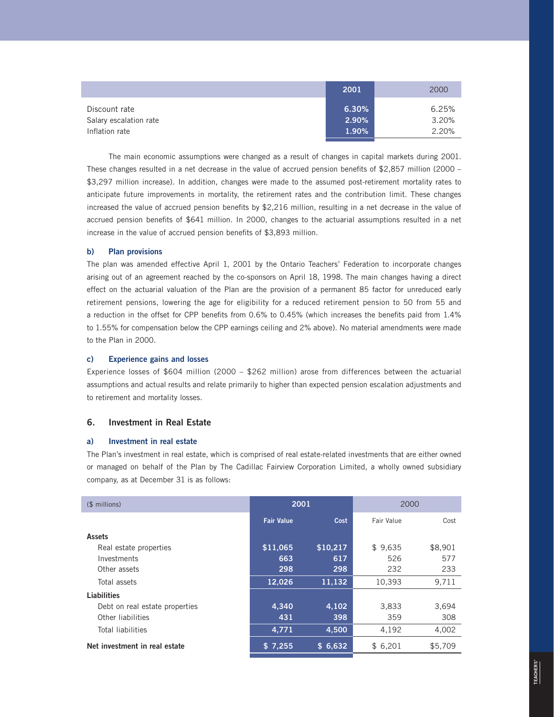|                        | 2001     | 2000  |
|------------------------|----------|-------|
| Discount rate          | 6.30%    | 6.25% |
| Salary escalation rate | $2.90\%$ | 3.20% |
| Inflation rate         | 1.90%    | 2.20% |

The main economic assumptions were changed as a result of changes in capital markets during 2001. These changes resulted in a net decrease in the value of accrued pension benefits of \$2,857 million (2000 – \$3,297 million increase). In addition, changes were made to the assumed post-retirement mortality rates to anticipate future improvements in mortality, the retirement rates and the contribution limit. These changes increased the value of accrued pension benefits by \$2,216 million, resulting in a net decrease in the value of accrued pension benefits of \$641 million. In 2000, changes to the actuarial assumptions resulted in a net increase in the value of accrued pension benefits of \$3,893 million.

#### **b) Plan provisions**

The plan was amended effective April 1, 2001 by the Ontario Teachers' Federation to incorporate changes arising out of an agreement reached by the co-sponsors on April 18, 1998. The main changes having a direct effect on the actuarial valuation of the Plan are the provision of a permanent 85 factor for unreduced early retirement pensions, lowering the age for eligibility for a reduced retirement pension to 50 from 55 and a reduction in the offset for CPP benefits from 0.6% to 0.45% (which increases the benefits paid from 1.4% to 1.55% for compensation below the CPP earnings ceiling and 2% above). No material amendments were made to the Plan in 2000.

## **c) Experience gains and losses**

Experience losses of \$604 million (2000 – \$262 million) arose from differences between the actuarial assumptions and actual results and relate primarily to higher than expected pension escalation adjustments and to retirement and mortality losses.

## **6. Investment in Real Estate**

#### **a) Investment in real estate**

The Plan's investment in real estate, which is comprised of real estate-related investments that are either owned or managed on behalf of the Plan by The Cadillac Fairview Corporation Limited, a wholly owned subsidiary company, as at December 31 is as follows:

| $$$ millions)                  | 2001              |          | 2000       |         |
|--------------------------------|-------------------|----------|------------|---------|
|                                | <b>Fair Value</b> | Cost     | Fair Value | Cost    |
| <b>Assets</b>                  |                   |          |            |         |
| Real estate properties         | \$11,065          | \$10,217 | \$9,635    | \$8,901 |
| Investments                    | 663               | 617      | 526        | 577     |
| Other assets                   | 298               | 298      | 232        | 233     |
| Total assets                   | 12,026            | 11,132   | 10,393     | 9,711   |
| Liabilities                    |                   |          |            |         |
| Debt on real estate properties | 4.340             | 4,102    | 3,833      | 3,694   |
| Other liabilities              | 431               | 398      | 359        | 308     |
| Total liabilities              | 4,771             | 4,500    | 4,192      | 4,002   |
| Net investment in real estate  | \$7,255           | \$6,632  | \$6,201    | \$5,709 |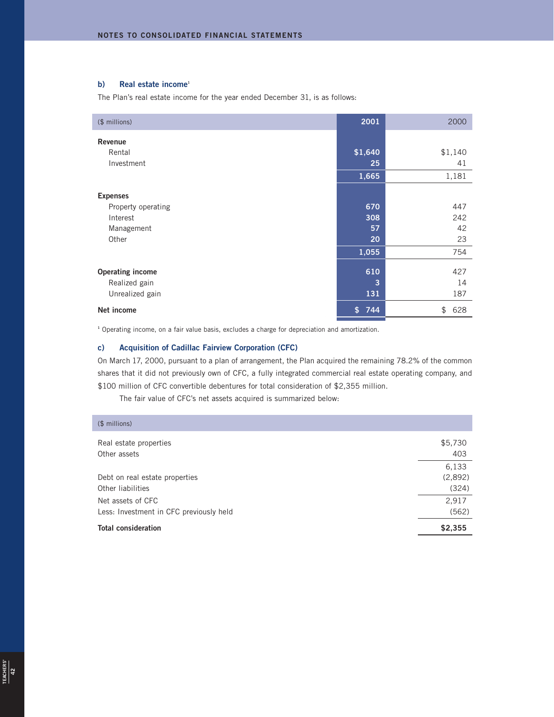## **b) Real estate income<sup>1</sup>**

The Plan's real estate income for the year ended December 31, is as follows:

| (\$ millions)           | 2001                | 2000      |
|-------------------------|---------------------|-----------|
| Revenue                 |                     |           |
| Rental                  | \$1,640             | \$1,140   |
| Investment              | 25                  | 41        |
|                         | 1,665               | 1,181     |
| <b>Expenses</b>         |                     |           |
| Property operating      | 670                 | 447       |
| Interest                | 308                 | 242       |
| Management              | 57                  | 42        |
| Other                   | 20                  | 23        |
|                         | 1,055               | 754       |
| <b>Operating income</b> | 610                 | 427       |
| Realized gain           | 3                   | 14        |
| Unrealized gain         | 131                 | 187       |
| Net income              | $\mathsf{s}$<br>744 | \$<br>628 |

**<sup>1</sup>** Operating income, on a fair value basis, excludes a charge for depreciation and amortization.

## **c) Acquisition of Cadillac Fairview Corporation (CFC)**

On March 17, 2000, pursuant to a plan of arrangement, the Plan acquired the remaining 78.2% of the common shares that it did not previously own of CFC, a fully integrated commercial real estate operating company, and \$100 million of CFC convertible debentures for total consideration of \$2,355 million.

The fair value of CFC's net assets acquired is summarized below:

| <b>Total consideration</b>              | \$2,355 |
|-----------------------------------------|---------|
| Less: Investment in CFC previously held | (562)   |
| Net assets of CFC                       | 2,917   |
| Other liabilities                       | (324)   |
| Debt on real estate properties          | (2,892) |
|                                         | 6,133   |
| Other assets                            | 403     |
| Real estate properties                  | \$5,730 |
| (\$ millions)                           |         |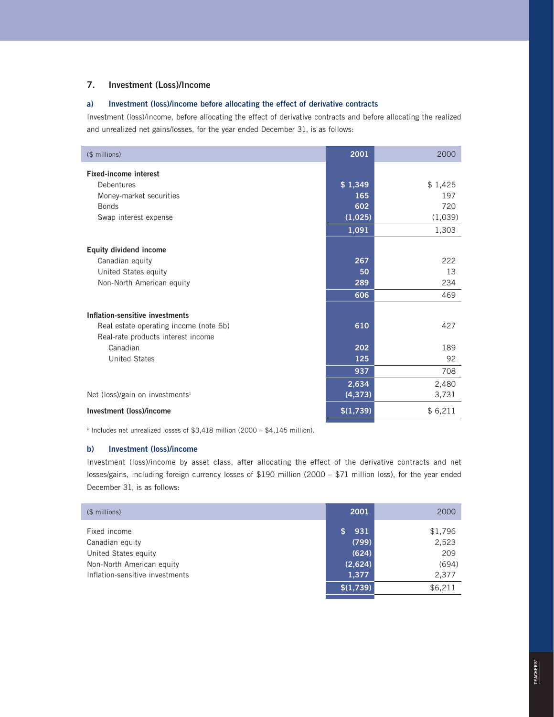## **7. Investment (Loss)/Income**

## **a) Investment (loss)/income before allocating the effect of derivative contracts**

Investment (loss)/income, before allocating the effect of derivative contracts and before allocating the realized and unrealized net gains/losses, for the year ended December 31, is as follows:

| (\$ millions)                               | 2001      | 2000    |
|---------------------------------------------|-----------|---------|
| <b>Fixed-income interest</b>                |           |         |
| Debentures                                  | \$1,349   | \$1,425 |
| Money-market securities                     | 165       | 197     |
| <b>Bonds</b>                                | 602       | 720     |
| Swap interest expense                       | (1,025)   | (1,039) |
|                                             | 1,091     | 1,303   |
| <b>Equity dividend income</b>               |           |         |
| Canadian equity                             | 267       | 222     |
| United States equity                        | 50        | 13      |
| Non-North American equity                   | 289       | 234     |
|                                             | 606       | 469     |
|                                             |           |         |
| Inflation-sensitive investments             |           |         |
| Real estate operating income (note 6b)      | 610       | 427     |
| Real-rate products interest income          |           |         |
| Canadian                                    | 202       | 189     |
| <b>United States</b>                        | 125       | 92      |
|                                             | 937       | 708     |
|                                             | 2,634     | 2,480   |
| Net (loss)/gain on investments <sup>1</sup> | (4, 373)  | 3,731   |
| Investment (loss)/income                    | \$(1,739) | \$6,211 |

**<sup>1</sup>** Includes net unrealized losses of \$3,418 million (2000 – \$4,145 million).

## **b) Investment (loss)/income**

Investment (loss)/income by asset class, after allocating the effect of the derivative contracts and net losses/gains, including foreign currency losses of \$190 million (2000 – \$71 million loss), for the year ended December 31, is as follows:

| (\$ millions)                   | 2001      | 2000    |
|---------------------------------|-----------|---------|
| Fixed income                    | 931       | \$1,796 |
| Canadian equity                 | (799)     | 2,523   |
| United States equity            | (624)     | 209     |
| Non-North American equity       | (2,624)   | (694)   |
| Inflation-sensitive investments | 1,377     | 2,377   |
|                                 | \$(1,739) | \$6,211 |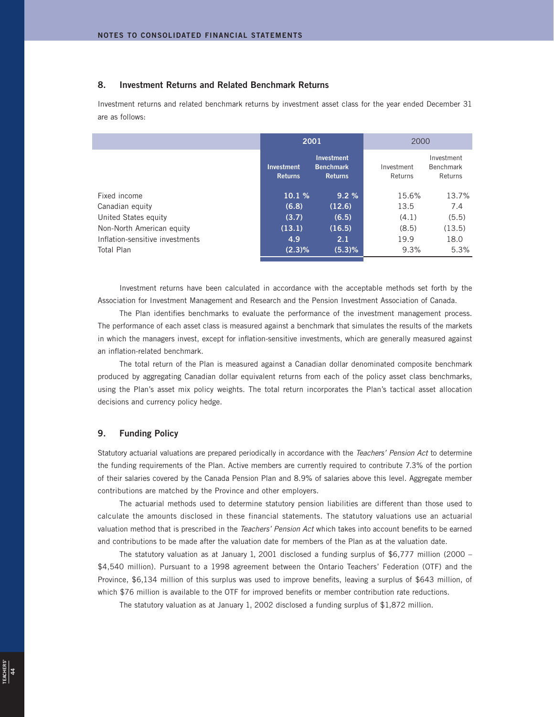## **8. Investment Returns and Related Benchmark Returns**

Investment returns and related benchmark returns by investment asset class for the year ended December 31 are as follows:

|                                 |                              | 2001                                                    | 2000                  |                                           |
|---------------------------------|------------------------------|---------------------------------------------------------|-----------------------|-------------------------------------------|
|                                 | Investment<br><b>Returns</b> | <b>Investment</b><br><b>Benchmark</b><br><b>Returns</b> | Investment<br>Returns | Investment<br><b>Benchmark</b><br>Returns |
| Fixed income                    | 10.1%                        | 9.2%                                                    | 15.6%                 | 13.7%                                     |
| Canadian equity                 | (6.8)                        | (12.6)                                                  | 13.5                  | 7.4                                       |
| United States equity            | (3.7)                        | (6.5)                                                   | (4.1)                 | (5.5)                                     |
| Non-North American equity       | (13.1)                       | (16.5)                                                  | (8.5)                 | (13.5)                                    |
| Inflation-sensitive investments | 4.9                          | 2.1                                                     | 19.9                  | 18.0                                      |
| Total Plan                      | $(2.3)\%$                    | (5.3)%                                                  | 9.3%                  | 5.3%                                      |
|                                 |                              |                                                         |                       |                                           |

Investment returns have been calculated in accordance with the acceptable methods set forth by the Association for Investment Management and Research and the Pension Investment Association of Canada.

The Plan identifies benchmarks to evaluate the performance of the investment management process. The performance of each asset class is measured against a benchmark that simulates the results of the markets in which the managers invest, except for inflation-sensitive investments, which are generally measured against an inflation-related benchmark.

The total return of the Plan is measured against a Canadian dollar denominated composite benchmark produced by aggregating Canadian dollar equivalent returns from each of the policy asset class benchmarks, using the Plan's asset mix policy weights. The total return incorporates the Plan's tactical asset allocation decisions and currency policy hedge.

## **9. Funding Policy**

**TEACHERS'**  $\frac{44}{44}$ 

Statutory actuarial valuations are prepared periodically in accordance with the Teachers' Pension Act to determine the funding requirements of the Plan. Active members are currently required to contribute 7.3% of the portion of their salaries covered by the Canada Pension Plan and 8.9% of salaries above this level. Aggregate member contributions are matched by the Province and other employers.

The actuarial methods used to determine statutory pension liabilities are different than those used to calculate the amounts disclosed in these financial statements. The statutory valuations use an actuarial valuation method that is prescribed in the Teachers' Pension Act which takes into account benefits to be earned and contributions to be made after the valuation date for members of the Plan as at the valuation date.

The statutory valuation as at January 1, 2001 disclosed a funding surplus of \$6,777 million (2000 – \$4,540 million). Pursuant to a 1998 agreement between the Ontario Teachers' Federation (OTF) and the Province, \$6,134 million of this surplus was used to improve benefits, leaving a surplus of \$643 million, of which \$76 million is available to the OTF for improved benefits or member contribution rate reductions.

The statutory valuation as at January 1, 2002 disclosed a funding surplus of \$1,872 million.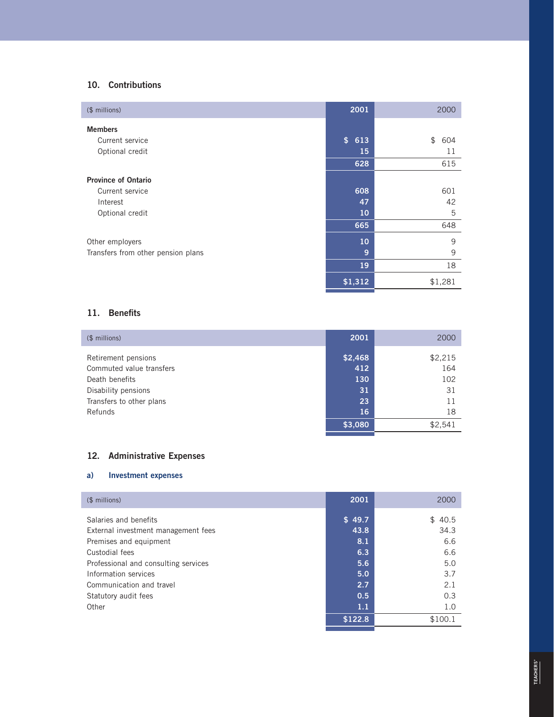## **1 0 . Contributions**

| (\$ millions)                      | 2001      | 2000      |
|------------------------------------|-----------|-----------|
| <b>Members</b>                     |           |           |
| Current service                    | \$<br>613 | \$<br>604 |
| Optional credit                    | 15        | 11        |
|                                    | 628       | 615       |
| <b>Province of Ontario</b>         |           |           |
| Current service                    | 608       | 601       |
| Interest                           | 47        | 42        |
| Optional credit                    | 10        | 5         |
|                                    | 665       | 648       |
| Other employers                    | 10        | 9         |
| Transfers from other pension plans | 9         | 9         |
|                                    | 19        | 18        |
|                                    | \$1,312   | \$1,281   |

## **1 1 . Benefits**

| $$$ millions)            | 2001    | 2000    |
|--------------------------|---------|---------|
| Retirement pensions      | \$2,468 | \$2,215 |
| Commuted value transfers | 412     | 164     |
| Death benefits           | 130     | 102     |
| Disability pensions      | 31      | 31      |
| Transfers to other plans | 23      | 11      |
| Refunds                  | 16      | 18      |
|                          | \$3,080 | \$2,541 |

## **1 2 . Administrative Expenses**

## **a) Investment expenses**

| (\$ millions)                                                                          | 2001                  | 2000                  |
|----------------------------------------------------------------------------------------|-----------------------|-----------------------|
| Salaries and benefits<br>External investment management fees<br>Premises and equipment | \$49.7<br>43.8<br>8.1 | \$40.5<br>34.3<br>6.6 |
| Custodial fees<br>Professional and consulting services                                 | 6.3<br>5.6            | 6.6<br>5.0            |
| Information services<br>Communication and travel                                       | 5.0<br>2.7<br>0.5     | 3.7<br>2.1<br>0.3     |
| Statutory audit fees<br>Other                                                          | 1.1                   | 1.0                   |
|                                                                                        | \$122.8               | \$100.1               |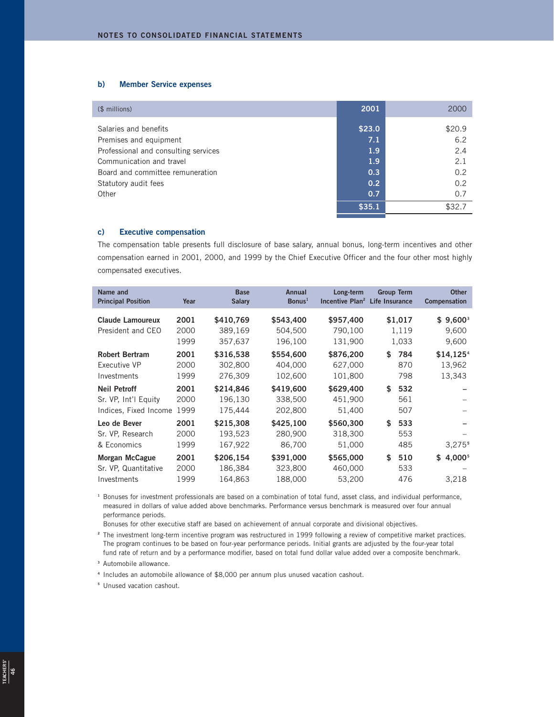## **b) Member Service expenses**

| $$$ millions)                        | 2001             | 2000   |
|--------------------------------------|------------------|--------|
| Salaries and benefits                | \$23.0           | \$20.9 |
| Premises and equipment               | 7.1              | 6.2    |
| Professional and consulting services | 1.9              | 2.4    |
| Communication and travel             | 1.9 <sub>2</sub> | 2.1    |
| Board and committee remuneration     | 0.3              | 0.2    |
| Statutory audit fees                 | 0.2              | 0.2    |
| Other                                | 0.7              | 0.7    |
|                                      | \$35.1           | \$32.7 |

### **c) Executive compensation**

The compensation table presents full disclosure of base salary, annual bonus, long-term incentives and other compensation earned in 2001, 2000, and 1999 by the Chief Executive Officer and the four other most highly compensated executives.

| Name and<br><b>Principal Position</b> | Year | <b>Base</b><br><b>Salary</b> | <b>Annual</b><br>Bonus <sup>1</sup> | Long-term<br>Incentive Plan <sup>2</sup> Life Insurance | <b>Group Term</b> | <b>Other</b><br><b>Compensation</b> |
|---------------------------------------|------|------------------------------|-------------------------------------|---------------------------------------------------------|-------------------|-------------------------------------|
| <b>Claude Lamoureux</b>               | 2001 | \$410,769                    | \$543,400                           | \$957,400                                               | \$1,017           | $$9,600^3$                          |
| President and CEO                     | 2000 | 389,169                      | 504,500                             | 790,100                                                 | 1,119             | 9,600                               |
|                                       | 1999 | 357,637                      | 196,100                             | 131,900                                                 | 1,033             | 9,600                               |
| <b>Robert Bertram</b>                 | 2001 | \$316,538                    | \$554,600                           | \$876,200                                               | \$<br>784         | \$14,1254                           |
| Executive VP                          | 2000 | 302,800                      | 404,000                             | 627,000                                                 | 870               | 13,962                              |
| Investments                           | 1999 | 276,309                      | 102,600                             | 101,800                                                 | 798               | 13,343                              |
| <b>Neil Petroff</b>                   | 2001 | \$214.846                    | \$419,600                           | \$629,400                                               | 532<br>\$         |                                     |
| Sr. VP, Int'l Equity                  | 2000 | 196,130                      | 338,500                             | 451,900                                                 | 561               |                                     |
| Indices, Fixed Income                 | 1999 | 175,444                      | 202,800                             | 51,400                                                  | 507               |                                     |
| Leo de Bever                          | 2001 | \$215,308                    | \$425,100                           | \$560,300                                               | \$<br>533         |                                     |
| Sr. VP, Research                      | 2000 | 193,523                      | 280,900                             | 318,300                                                 | 553               |                                     |
| & Economics                           | 1999 | 167,922                      | 86,700                              | 51,000                                                  | 485               | 3,275 <sup>5</sup>                  |
| <b>Morgan McCague</b>                 | 2001 | \$206.154                    | \$391,000                           | \$565,000                                               | \$<br>510         | 4,0005<br>\$                        |
| Sr. VP. Quantitative                  | 2000 | 186,384                      | 323,800                             | 460,000                                                 | 533               |                                     |
| Investments                           | 1999 | 164,863                      | 188,000                             | 53,200                                                  | 476               | 3,218                               |

**<sup>1</sup>** Bonuses for investment professionals are based on a combination of total fund, asset class, and individual performance, measured in dollars of value added above benchmarks. Performance versus benchmark is measured over four annual performance periods.

Bonuses for other executive staff are based on achievement of annual corporate and divisional objectives.

**<sup>2</sup>** The investment long-term incentive program was restructured in 1999 following a review of competitive market practices. The program continues to be based on four-year performance periods. Initial grants are adjusted by the four-year total fund rate of return and by a performance modifier, based on total fund dollar value added over a composite benchmark.

**<sup>3</sup>** Automobile allowance.

**<sup>4</sup>** Includes an automobile allowance of \$8,000 per annum plus unused vacation cashout.

**<sup>5</sup>** Unused vacation cashout.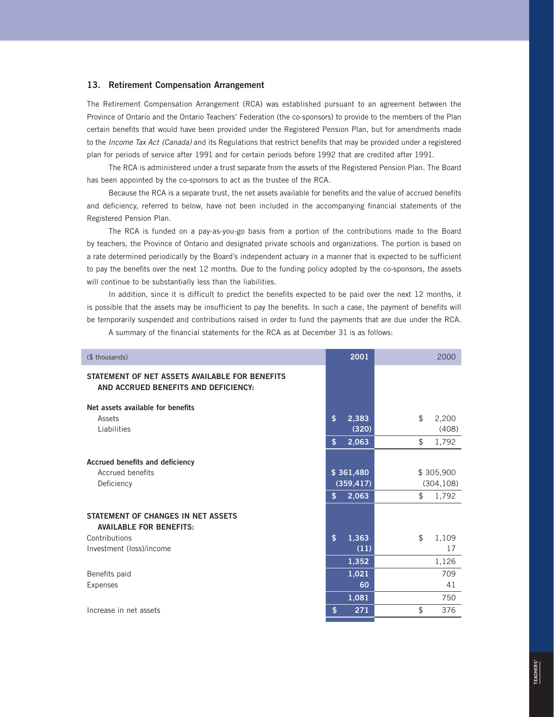## **13. Retirement Compensation Arrangement**

The Retirement Compensation Arrangement (RCA) was established pursuant to an agreement between the Province of Ontario and the Ontario Teachers' Federation (the co-sponsors) to provide to the members of the Plan certain benefits that would have been provided under the Registered Pension Plan, but for amendments made to the Income Tax Act (Canada) and its Regulations that restrict benefits that may be provided under a registered plan for periods of service after 1991 and for certain periods before 1992 that are credited after 1991.

The RCA is administered under a trust separate from the assets of the Registered Pension Plan. The Board has been appointed by the co-sponsors to act as the trustee of the RCA.

Because the RCA is a separate trust, the net assets available for benefits and the value of accrued benefits and deficiency, referred to below, have not been included in the accompanying financial statements of the Registered Pension Plan.

The RCA is funded on a pay-as-you-go basis from a portion of the contributions made to the Board by teachers, the Province of Ontario and designated private schools and organizations. The portion is based on a rate determined periodically by the Board's independent actuary in a manner that is expected to be sufficient to pay the benefits over the next 12 months. Due to the funding policy adopted by the co-sponsors, the assets will continue to be substantially less than the liabilities.

In addition, since it is difficult to predict the benefits expected to be paid over the next 12 months, it is possible that the assets may be insufficient to pay the benefits. In such a case, the payment of benefits will be temporarily suspended and contributions raised in order to fund the payments that are due under the RCA.

A summary of the financial statements for the RCA as at December 31 is as follows:

| (\$ thousands)                                                                         | 2001                   | 2000        |
|----------------------------------------------------------------------------------------|------------------------|-------------|
| STATEMENT OF NET ASSETS AVAILABLE FOR BENEFITS<br>AND ACCRUED BENEFITS AND DEFICIENCY: |                        |             |
| Net assets available for benefits                                                      |                        |             |
| Assets                                                                                 | \$<br>2,383            | \$<br>2,200 |
| Liabilities                                                                            | (320)                  | (408)       |
|                                                                                        | 2,063<br>\$            | \$<br>1,792 |
| Accrued benefits and deficiency                                                        |                        |             |
| Accrued benefits                                                                       | \$361,480              | \$305,900   |
| Deficiency                                                                             | (359, 417)             | (304, 108)  |
|                                                                                        | 2,063<br>\$            | \$<br>1,792 |
| STATEMENT OF CHANGES IN NET ASSETS<br><b>AVAILABLE FOR BENEFITS:</b>                   |                        |             |
| Contributions                                                                          | $\mathsf{\$}$<br>1,363 | \$<br>1,109 |
| Investment (loss)/income                                                               | (11)                   | 17          |
|                                                                                        | 1,352                  | 1,126       |
| Benefits paid                                                                          | 1,021                  | 709         |
| <b>Expenses</b>                                                                        | 60                     | 41          |
|                                                                                        | 1,081                  | 750         |
| Increase in net assets                                                                 | 271<br>\$              | \$<br>376   |
|                                                                                        |                        |             |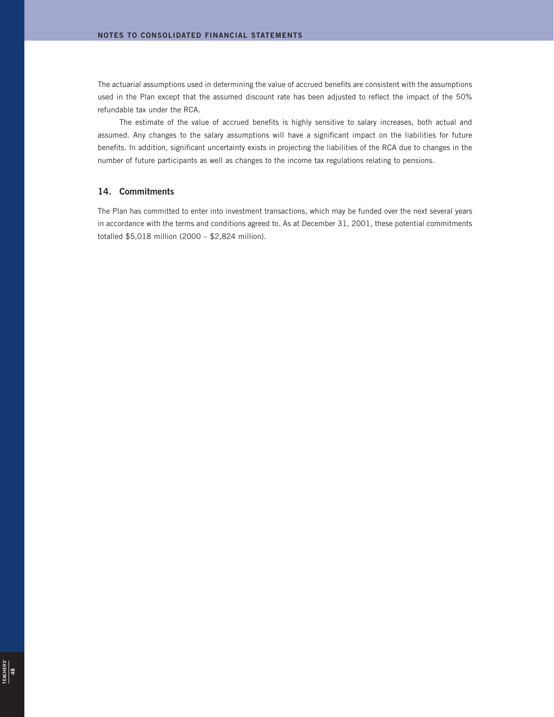The actuarial assumptions used in determining the value of accrued benefits are consistent with the assumptions used in the Plan except that the assumed discount rate has been adjusted to reflect the impact of the 50% refundable tax under the RCA.

The estimate of the value of accrued benefits is highly sensitive to salary increases, both actual and assumed. Any changes to the salary assumptions will have a significant impact on the liabilities for future benefits. In addition, significant uncertainty exists in projecting the liabilities of the RCA due to changes in the number of future participants as well as changes to the income tax regulations relating to pensions.

## **14. Commitments**

The Plan has committed to enter into investment transactions, which may be funded over the next several years in accordance with the terms and conditions agreed to. As at December 31, 2001, these potential commitments totalled \$5,018 million (2000 – \$2,824 million).

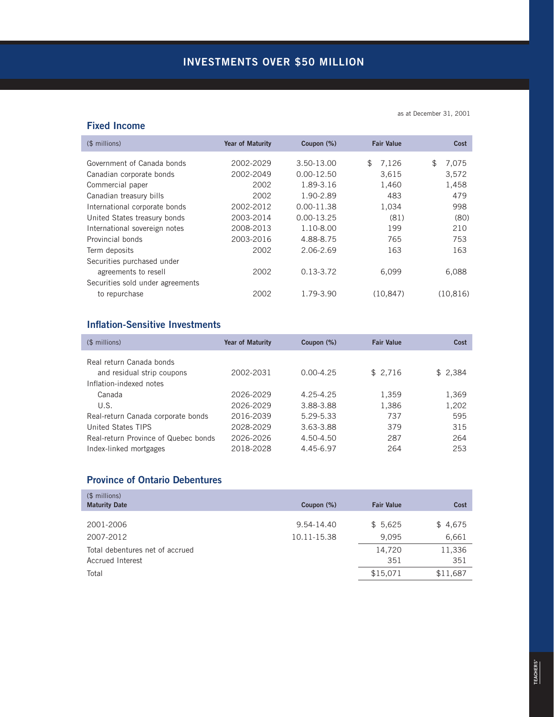## **Fixed Income**

as at December 31, 2001

| (\$ millions)                    | <b>Year of Maturity</b> | Coupon (%)<br><b>Fair Value</b> |             | Cost        |
|----------------------------------|-------------------------|---------------------------------|-------------|-------------|
| Government of Canada bonds       | 2002-2029               | 3.50-13.00                      | \$<br>7,126 | \$<br>7,075 |
| Canadian corporate bonds         | 2002-2049               | $0.00 - 12.50$                  | 3.615       | 3,572       |
| Commercial paper                 | 2002                    | 1.89-3.16                       | 1,460       | 1,458       |
| Canadian treasury bills          | 2002                    | 1.90-2.89                       | 483         | 479         |
| International corporate bonds    | 2002-2012               | $0.00 - 11.38$                  | 1.034       | 998         |
| United States treasury bonds     | 2003-2014               | $0.00 - 13.25$                  | (81)        | (80)        |
| International sovereign notes    | 2008-2013               | 1.10-8.00                       | 199         | 210         |
| Provincial bonds                 | 2003-2016               | 4.88-8.75                       | 765         | 753         |
| Term deposits                    | 2002                    | 2.06-2.69                       | 163         | 163         |
| Securities purchased under       |                         |                                 |             |             |
| agreements to resell             | 2002                    | $0.13 - 3.72$                   | 6,099       | 6,088       |
| Securities sold under agreements |                         |                                 |             |             |
| to repurchase                    | 2002                    | 1.79-3.90                       | (10, 847)   | (10, 816)   |
|                                  |                         |                                 |             |             |

## **Inflation-Sensitive Investments**

| $$$ millions)                        | <b>Year of Maturity</b> | Coupon (%)    | <b>Fair Value</b> | Cost    |
|--------------------------------------|-------------------------|---------------|-------------------|---------|
| Real return Canada bonds             |                         |               |                   |         |
| and residual strip coupons           | 2002-2031               | $0.00 - 4.25$ | \$2,716           | \$2,384 |
| Inflation-indexed notes              |                         |               |                   |         |
| Canada                               | 2026-2029               | 4.25-4.25     | 1,359             | 1,369   |
| U.S.                                 | 2026-2029               | 3.88-3.88     | 1,386             | 1,202   |
| Real-return Canada corporate bonds   | 2016-2039               | 5.29-5.33     | 737               | 595     |
| United States TIPS                   | 2028-2029               | 3.63-3.88     | 379               | 315     |
| Real-return Province of Quebec bonds | 2026-2026               | 4.50-4.50     | 287               | 264     |
| Index-linked mortgages               | 2018-2028               | 4.45-6.97     | 264               | 253     |

## **Province of Ontario Debentures**

| $$$ millions)<br><b>Maturity Date</b> | Coupon (%)  | <b>Fair Value</b> | Cost     |
|---------------------------------------|-------------|-------------------|----------|
|                                       | 9.54-14.40  |                   |          |
| 2001-2006                             |             | \$5,625           | \$4,675  |
| 2007-2012                             | 10.11-15.38 | 9.095             | 6,661    |
| Total debentures net of accrued       |             | 14,720            | 11,336   |
| Accrued Interest                      |             | 351               | 351      |
| Total                                 |             | \$15,071          | \$11,687 |
|                                       |             |                   |          |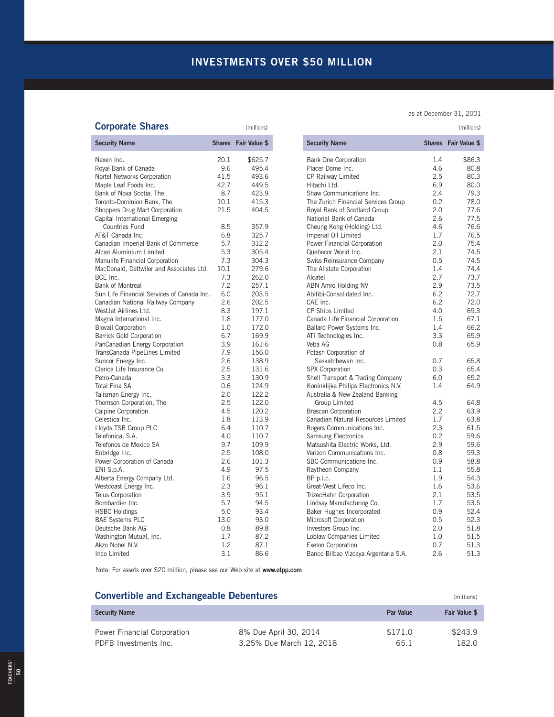# **INVESTMENTS OVER \$50 MILLION**

# **Corporate Shares** (millions) (millions)

| <b>Security Name</b>                       |      | Shares Fair Value \$ |
|--------------------------------------------|------|----------------------|
| Nexen Inc.                                 | 20.1 | \$625.7              |
| Royal Bank of Canada                       | 9.6  | 495.4                |
| Nortel Networks Corporation                | 41.5 | 493.6                |
| Maple Leaf Foods Inc.                      | 42.7 | 449.5                |
| Bank of Nova Scotia, The                   | 8.7  | 423.9                |
| Toronto-Dominion Bank, The                 | 10.1 | 415.3                |
| Shoppers Drug Mart Corporation             | 21.5 | 404.5                |
| Capital International Emerging             |      |                      |
| Countries Fund                             | 8.5  | 357.9                |
| AT&T Canada Inc.                           | 6.8  | 325.7                |
| Canadian Imperial Bank of Commerce         | 5.7  | 312.2                |
| Alcan Aluminium Limited                    | 5.3  | 305.4                |
| Manulife Financial Corporation             | 7.3  | 304.3                |
| MacDonald, Dettwiler and Associates Ltd.   | 10.1 | 279.6                |
| BCE Inc.                                   | 7.3  | 262.0                |
| <b>Bank of Montreal</b>                    | 7.2  | 257.1                |
| Sun Life Financial Services of Canada Inc. | 6.0  | 203.5                |
| Canadian National Railway Company          | 2.6  | 202.5                |
| WestJet Airlines Ltd.                      | 8.3  | 197.1                |
| Magna International Inc.                   | 1.8  | 177.0                |
| <b>Biovail Corporation</b>                 | 1.0  | 172.0                |
| <b>Barrick Gold Corporation</b>            | 6.7  | 169.9                |
| PanCanadian Energy Corporation             | 3.9  | 161.6                |
| TransCanada PipeLines Limited              | 7.9  | 156.0                |
| Suncor Energy Inc.                         | 2.6  | 138.9                |
| Clarica Life Insurance Co.                 | 2.5  | 131.6                |
| Petro-Canada                               | 3.3  | 130.9                |
| <b>Total Fina SA</b>                       | 0.6  | 124.9                |
| Talisman Energy Inc.                       | 2.0  | 122.2                |
| Thomson Corporation, The                   | 2.5  | 122.0                |
| Calpine Corporation                        | 4.5  | 120.2                |
| Celestica Inc.                             | 1.8  | 113.9                |
| Lloyds TSB Group PLC                       | 6.4  | 110.7                |
| Telefonica, S.A.                           | 4.0  | 110.7                |
| Telefonos de Mexico SA                     | 9.7  | 109.9                |
| Enbridge Inc.                              | 2.5  | 108.0                |
| Power Corporation of Canada                | 2.6  | 101.3                |
| ENI S.p.A.                                 | 4.9  | 97.5                 |
| Alberta Energy Company Ltd.                | 1.6  | 96.5                 |
| Westcoast Energy Inc.                      | 2.3  | 96.1                 |
| <b>Telus Corporation</b>                   | 3.9  | 95.1                 |
| Bombardier Inc.                            | 5.7  | 94.5                 |
| <b>HSBC Holdings</b>                       | 5.0  | 93.4                 |
| <b>BAE Systems PLC</b>                     | 13.0 | 93.0                 |
| Deutsche Bank AG                           | 0.8  | 89.8                 |
| Washington Mutual, Inc.                    | 1.7  | 87.2                 |
| Akzo Nobel N.V.                            | 1.2  | 87.1                 |
| Inco Limited                               | 3.1  | 86.6                 |

## as at December 31, 2001

| <b>Security Name</b>                                   |     | Shares Fair Value \$ |
|--------------------------------------------------------|-----|----------------------|
| <b>Bank One Corporation</b>                            | 1.4 | \$86.3               |
| Placer Dome Inc.                                       | 4.6 | 80.8                 |
| CP Railway Limited                                     | 2.5 | 80.3                 |
| Hitachi Ltd.                                           | 6.9 | 80.0                 |
| Shaw Communications Inc.                               | 2.4 | 79.3                 |
| The Zurich Financial Services Group                    | 0.2 | 78.0                 |
| Royal Bank of Scotland Group                           | 2.0 | 77.6                 |
| National Bank of Canada                                | 2.6 | 77.5                 |
| Cheung Kong (Holding) Ltd.                             | 4.6 | 76.6                 |
| Imperial Oil Limited                                   | 1.7 | 76.5                 |
| Power Financial Corporation                            | 2.0 | 75.4                 |
| Quebecor World Inc.                                    | 2.1 | 74.5                 |
| Swiss Reinsurance Company                              | 0.5 | 74.5                 |
| The Allstate Corporation                               | 1.4 | 74.4                 |
| Alcatel                                                | 2.7 | 73.7                 |
| <b>ABN Amro Holding NV</b>                             | 2.9 | 73.5                 |
| Abitibi-Consolidated Inc.                              | 6.2 | 72.7                 |
| CAE Inc.                                               | 6.2 | 72.0                 |
| CP Ships Limited                                       | 4.0 | 69.3                 |
| Canada Life Financial Corporation                      | 1.5 | 67.1                 |
| Ballard Power Systems Inc.                             | 1.4 | 66.2                 |
| ATI Technologies Inc.                                  | 3.3 | 65.9                 |
| Veba AG                                                | 0.8 | 65.9                 |
| Potash Corporation of                                  |     |                      |
| Saskatchewan Inc.                                      | 0.7 | 65.8                 |
| <b>SPX Corporation</b>                                 | 0.3 | 65.4                 |
| Shell Transport & Trading Company                      | 6.0 | 65.2                 |
| Koninklijke Philips Electronics N.V.                   | 1.4 | 64.9                 |
| Australia & New Zealand Banking                        |     |                      |
| Group Limited                                          | 4.5 | 64.8                 |
| <b>Brascan Corporation</b>                             | 2.2 | 63.9                 |
| Canadian Natural Resources Limited                     | 1.7 | 63.8                 |
| Rogers Communications Inc.                             | 2.3 | 61.5                 |
| <b>Samsung Electronics</b>                             | 0.2 | 59.6                 |
| Matsushita Electric Works, Ltd.                        | 2.9 | 59.6                 |
| Verizon Communications Inc.<br>SBC Communications Inc. | 0.8 | 59.3                 |
|                                                        | 0.9 | 58.8                 |
| Raytheon Company                                       | 1.1 | 55.8                 |
| BP p.l.c.                                              | 1.9 | 54.3                 |
| Great-West Lifeco Inc.                                 | 1.6 | 53.6                 |
| TrizecHahn Corporation                                 | 2.1 | 53.5                 |
| Lindsay Manufacturing Co.                              | 1.7 | 53.5                 |
| Baker Hughes Incorporated                              | 0.9 | 52.4                 |
| Microsoft Corporation                                  | 0.5 | 52.3                 |
| Investors Group Inc.                                   | 2.0 | 51.8                 |
| Loblaw Companies Limited                               | 1.0 | 51.5                 |
| <b>Exelon Corporation</b>                              | 0.7 | 51.3                 |
| Banco Bilbao Vizcaya Argentaria S.A.                   | 2.6 | 51.3                 |

Note: For assets over \$20 million, please see our Web site at **www.otpp.com**

## **Convertible and Exchangeable Debentures** (millions) (millions)

| <b>Security Name</b>        |                          | <b>Par Value</b> | Fair Value \$ |
|-----------------------------|--------------------------|------------------|---------------|
| Power Financial Corporation | 8% Due April 30, 2014    | \$171.0          | \$243.9       |
| PDFB Investments Inc.       | 3.25% Due March 12, 2018 | 65.1             | 182.0         |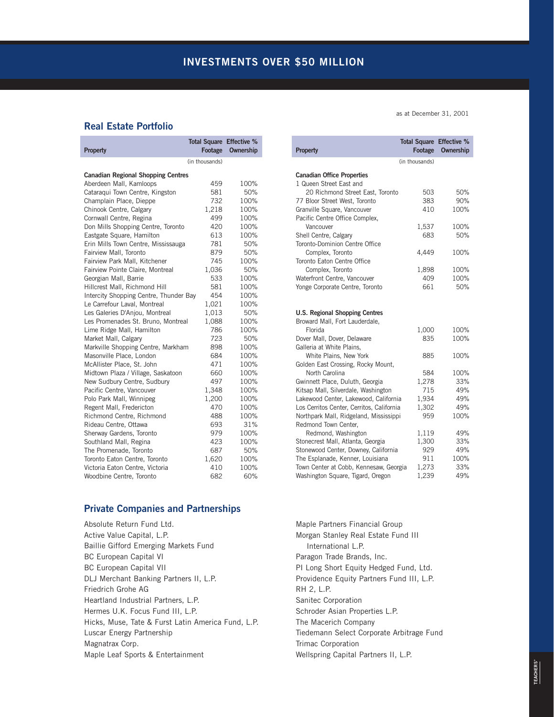## **Real Estate Portfolio**

|                                           | <b>Total Square</b> | <b>Effective %</b> |
|-------------------------------------------|---------------------|--------------------|
| Property                                  | Footage             | <b>Ownership</b>   |
|                                           | (in thousands)      |                    |
| <b>Canadian Regional Shopping Centres</b> |                     |                    |
| Aberdeen Mall, Kamloops                   | 459                 | 100%               |
| Cataraqui Town Centre, Kingston           | 581                 | 50%                |
| Champlain Place, Dieppe                   | 732                 | 100%               |
| Chinook Centre, Calgary                   | 1,218               | 100%               |
| Cornwall Centre, Regina                   | 499                 | 100%               |
| Don Mills Shopping Centre, Toronto        | 420                 | 100%               |
| Eastgate Square, Hamilton                 | 613                 | 100%               |
| Erin Mills Town Centre, Mississauga       | 781                 | 50%                |
| Fairview Mall, Toronto                    | 879                 | 50%                |
| Fairview Park Mall, Kitchener             | 745                 | 100%               |
| Fairview Pointe Claire, Montreal          | 1,036               | 50%                |
| Georgian Mall, Barrie                     | 533                 | 100%               |
| Hillcrest Mall, Richmond Hill             | 581                 | 100%               |
| Intercity Shopping Centre, Thunder Bay    | 454                 | 100%               |
| Le Carrefour Laval, Montreal              | 1,021               | 100%               |
| Les Galeries D'Anjou, Montreal            | 1,013               | 50%                |
| Les Promenades St. Bruno, Montreal        | 1,088               | 100%               |
| Lime Ridge Mall, Hamilton                 | 786                 | 100%               |
| Market Mall, Calgary                      | 723                 | 50%                |
| Markville Shopping Centre, Markham        | 898                 | 100%               |
| Masonville Place, London                  | 684                 | 100%               |
| McAllister Place, St. John                | 471                 | 100%               |
| Midtown Plaza / Village, Saskatoon        | 660                 | 100%               |
| New Sudbury Centre, Sudbury               | 497                 | 100%               |
| Pacific Centre, Vancouver                 | 1,348               | 100%               |
| Polo Park Mall, Winnipeg                  | 1,200               | 100%               |
| Regent Mall, Fredericton                  | 470                 | 100%               |
| Richmond Centre, Richmond                 | 488                 | 100%               |
| Rideau Centre, Ottawa                     | 693                 | 31%                |
| Sherway Gardens, Toronto                  | 979                 | 100%               |
| Southland Mall, Regina                    | 423                 | 100%               |
| The Promenade, Toronto                    | 687                 | 50%                |
| Toronto Eaton Centre, Toronto             | 1,620               | 100%               |
| Victoria Eaton Centre, Victoria           | 410                 | 100%               |
| Woodbine Centre, Toronto                  | 682                 | 60%                |

## **Private Companies and Partnerships**

Absolute Return Fund Ltd. Active Value Capital, L.P. Baillie Gifford Emerging Markets Fund BC European Capital VI BC European Capital VII DLJ Merchant Banking Partners II, L.P. Friedrich Grohe AG Heartland Industrial Partners, L.P. Hermes U.K. Focus Fund III, L.P. Hicks, Muse, Tate & Furst Latin America Fund, L.P. Luscar Energy Partnership Magnatrax Corp. Maple Leaf Sports & Entertainment

as at December 31, 2001

| <b>Property</b>                                                         | <b>Total Square Effective %</b><br>Footage | Ownership |
|-------------------------------------------------------------------------|--------------------------------------------|-----------|
|                                                                         | (in thousands)                             |           |
| <b>Canadian Office Properties</b><br>1 Queen Street East and            |                                            |           |
| 20 Richmond Street East, Toronto                                        | 503                                        | 50%       |
| 77 Bloor Street West, Toronto                                           | 383                                        | 90%       |
| Granville Square, Vancouver<br>Pacific Centre Office Complex,           | 410                                        | 100%      |
| Vancouver                                                               | 1,537                                      | 100%      |
| Shell Centre, Calgary<br>Toronto-Dominion Centre Office                 | 683                                        | 50%       |
| Complex, Toronto<br>Toronto Eaton Centre Office                         | 4,449                                      | 100%      |
| Complex. Toronto                                                        | 1,898                                      | 100%      |
| Waterfront Centre, Vancouver                                            | 409                                        | 100%      |
| Yonge Corporate Centre, Toronto                                         | 661                                        | 50%       |
| <b>U.S. Regional Shopping Centres</b><br>Broward Mall, Fort Lauderdale, |                                            |           |
| Florida                                                                 | 1,000                                      | 100%      |
| Dover Mall, Dover, Delaware<br>Galleria at White Plains.                | 835                                        | 100%      |
| White Plains, New York<br>Golden East Crossing, Rocky Mount,            | 885                                        | 100%      |
| North Carolina                                                          | 584                                        | 100%      |
| Gwinnett Place, Duluth, Georgia                                         | 1.278                                      | 33%       |
| Kitsap Mall, Silverdale, Washington                                     | 715                                        | 49%       |
| Lakewood Center, Lakewood, California                                   | 1,934                                      | 49%       |
| Los Cerritos Center, Cerritos, California                               | 1,302                                      | 49%       |
| Northpark Mall, Ridgeland, Mississippi<br>Redmond Town Center,          | 959                                        | 100%      |
| Redmond, Washington                                                     | 1,119                                      | 49%       |
| Stonecrest Mall, Atlanta, Georgia                                       | 1,300                                      | 33%       |
| Stonewood Center, Downey, California                                    | 929                                        | 49%       |
| The Esplanade, Kenner, Louisiana                                        | 911                                        | 100%      |
| Town Center at Cobb, Kennesaw, Georgia                                  | 1,273                                      | 33%       |
| Washington Square, Tigard, Oregon                                       | 1,239                                      | 49%       |

Maple Partners Financial Group Morgan Stanley Real Estate Fund III International L.P. Paragon Trade Brands, Inc. PI Long Short Equity Hedged Fund, Ltd. Providence Equity Partners Fund III, L.P. RH 2, L.P. Sanitec Corporation Schroder Asian Properties L.P. The Macerich Company Tiedemann Select Corporate Arbitrage Fund Trimac Corporation Wellspring Capital Partners II, L.P.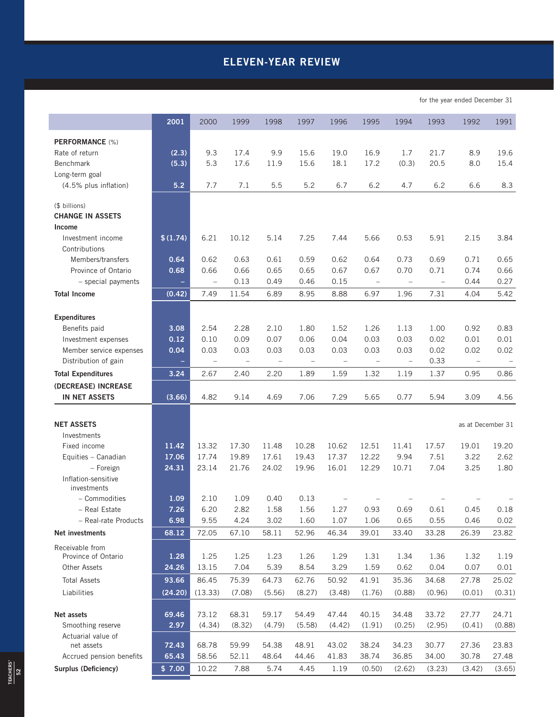# **ELEVEN-YEAR REVIEW**

for the year ended December 31

|                                          | 2001         | 2000              | 1999              | 1998         | 1997                     | 1996                     | 1995                     | 1994                     | 1993                     | 1992              | 1991         |
|------------------------------------------|--------------|-------------------|-------------------|--------------|--------------------------|--------------------------|--------------------------|--------------------------|--------------------------|-------------------|--------------|
| PERFORMANCE (%)                          |              |                   |                   |              |                          |                          |                          |                          |                          |                   |              |
| Rate of return                           | (2.3)        | 9.3               | 17.4              | 9.9          | 15.6                     | 19.0                     | 16.9                     | 1.7                      | 21.7                     | 8.9               | 19.6         |
| <b>Benchmark</b>                         | (5.3)        | 5.3               | 17.6              | 11.9         | 15.6                     | 18.1                     | 17.2                     | (0.3)                    | 20.5                     | 8.0               | 15.4         |
| Long-term goal                           |              |                   |                   |              |                          |                          |                          |                          |                          |                   |              |
| (4.5% plus inflation)                    | 5.2          | 7.7               | 7.1               | 5.5          | 5.2                      | 6.7                      | 6.2                      | 4.7                      | 6.2                      | 6.6               | 8.3          |
|                                          |              |                   |                   |              |                          |                          |                          |                          |                          |                   |              |
| (\$ billions)<br><b>CHANGE IN ASSETS</b> |              |                   |                   |              |                          |                          |                          |                          |                          |                   |              |
| Income                                   |              |                   |                   |              |                          |                          |                          |                          |                          |                   |              |
| Investment income                        | \$(1.74)     | 6.21              | 10.12             | 5.14         | 7.25                     | 7.44                     | 5.66                     | 0.53                     | 5.91                     | 2.15              | 3.84         |
| Contributions                            |              |                   |                   |              |                          |                          |                          |                          |                          |                   |              |
| Members/transfers                        | 0.64         | 0.62              | 0.63              | 0.61         | 0.59                     | 0.62                     | 0.64                     | 0.73                     | 0.69                     | 0.71              | 0.65         |
| Province of Ontario                      | 0.68         | 0.66              | 0.66              | 0.65         | 0.65                     | 0.67                     | 0.67                     | 0.70                     | 0.71                     | 0.74              | 0.66         |
| - special payments                       | $\equiv$     | $\qquad \qquad -$ | 0.13              | 0.49         | 0.46                     | 0.15                     | $\equiv$                 | $\overline{\phantom{0}}$ | $\overline{\phantom{0}}$ | 0.44              | 0.27         |
| <b>Total Income</b>                      | (0.42)       | 7.49              | 11.54             | 6.89         | 8.95                     | 8.88                     | 6.97                     | 1.96                     | 7.31                     | 4.04              | 5.42         |
|                                          |              |                   |                   |              |                          |                          |                          |                          |                          |                   |              |
| <b>Expenditures</b>                      |              |                   |                   |              |                          |                          |                          |                          |                          |                   |              |
| Benefits paid<br>Investment expenses     | 3.08<br>0.12 | 2.54<br>0.10      | 2.28<br>0.09      | 2.10<br>0.07 | 1.80<br>0.06             | 1.52<br>0.04             | 1.26<br>0.03             | 1.13<br>0.03             | 1.00<br>0.02             | 0.92<br>0.01      | 0.83<br>0.01 |
| Member service expenses                  | 0.04         | 0.03              | 0.03              | 0.03         | 0.03                     | 0.03                     | 0.03                     | 0.03                     | 0.02                     | 0.02              | 0.02         |
| Distribution of gain                     |              | $\qquad \qquad -$ | $\qquad \qquad -$ |              | $\overline{\phantom{0}}$ | $\overline{\phantom{0}}$ | $\overline{\phantom{0}}$ | $\qquad \qquad -$        | 0.33                     | $\qquad \qquad -$ |              |
| <b>Total Expenditures</b>                | 3.24         | 2.67              | 2.40              | 2.20         | 1.89                     | 1.59                     | 1.32                     | 1.19                     | 1.37                     | 0.95              | 0.86         |
| (DECREASE) INCREASE                      |              |                   |                   |              |                          |                          |                          |                          |                          |                   |              |
| <b>IN NET ASSETS</b>                     | (3.66)       | 4.82              | 9.14              | 4.69         | 7.06                     | 7.29                     | 5.65                     | 0.77                     | 5.94                     | 3.09              | 4.56         |
|                                          |              |                   |                   |              |                          |                          |                          |                          |                          |                   |              |
| <b>NET ASSETS</b>                        |              |                   |                   |              |                          |                          |                          |                          |                          | as at December 31 |              |
| Investments                              |              |                   |                   |              |                          |                          |                          |                          |                          |                   |              |
| Fixed income                             | 11.42        | 13.32             | 17.30             | 11.48        | 10.28                    | 10.62                    | 12.51                    | 11.41                    | 17.57                    | 19.01             | 19.20        |
| Equities - Canadian                      | 17.06        | 17.74             | 19.89             | 17.61        | 19.43                    | 17.37                    | 12.22                    | 9.94                     | 7.51                     | 3.22              | 2.62         |
| - Foreign                                | 24.31        | 23.14             | 21.76             | 24.02        | 19.96                    | 16.01                    | 12.29                    | 10.71                    | 7.04                     | 3.25              | 1.80         |
| Inflation-sensitive<br>investments       |              |                   |                   |              |                          |                          |                          |                          |                          |                   |              |
| - Commodities                            | 1.09         | 2.10              | 1.09              | 0.40         | 0.13                     |                          |                          |                          |                          |                   |              |
| - Real Estate                            | 7.26         | 6.20              | 2.82              | 1.58         | 1.56                     | 1.27                     | 0.93                     | 0.69                     | 0.61                     | 0.45              | 0.18         |
| - Real-rate Products                     | 6.98         | 9.55              | 4.24              | 3.02         | 1.60                     | 1.07                     | 1.06                     | 0.65                     | 0.55                     | 0.46              | 0.02         |
| Net investments                          | 68.12        | 72.05             | 67.10             | 58.11        | 52.96                    | 46.34                    | 39.01                    | 33.40                    | 33.28                    | 26.39             | 23.82        |
| Receivable from                          |              |                   |                   |              |                          |                          |                          |                          |                          |                   |              |
| Province of Ontario                      | 1.28         | 1.25              | 1.25              | 1.23         | 1.26                     | 1.29                     | 1.31                     | 1.34                     | 1.36                     | 1.32              | 1.19         |
| <b>Other Assets</b>                      | 24.26        | 13.15             | 7.04              | 5.39         | 8.54                     | 3.29                     | 1.59                     | 0.62                     | 0.04                     | 0.07              | 0.01         |
| <b>Total Assets</b>                      | 93.66        | 86.45             | 75.39             | 64.73        | 62.76                    | 50.92                    | 41.91                    | 35.36                    | 34.68                    | 27.78             | 25.02        |
| Liabilities                              | (24.20)      | (13.33)           | (7.08)            | (5.56)       | (8.27)                   | (3.48)                   | (1.76)                   | (0.88)                   | (0.96)                   | (0.01)            | (0.31)       |
| Net assets                               | 69.46        | 73.12             | 68.31             | 59.17        | 54.49                    | 47.44                    | 40.15                    | 34.48                    | 33.72                    | 27.77             | 24.71        |
| Smoothing reserve                        | 2.97         | (4.34)            | (8.32)            | (4.79)       | (5.58)                   | (4.42)                   | (1.91)                   | (0.25)                   | (2.95)                   | (0.41)            | (0.88)       |
| Actuarial value of                       |              |                   |                   |              |                          |                          |                          |                          |                          |                   |              |
| net assets                               | 72.43        | 68.78             | 59.99             | 54.38        | 48.91                    | 43.02                    | 38.24                    | 34.23                    | 30.77                    | 27.36             | 23.83        |
| Accrued pension benefits                 | 65.43        | 58.56             | 52.11             | 48.64        | 44.46                    | 41.83                    | 38.74                    | 36.85                    | 34.00                    | 30.78             | 27.48        |
| Surplus (Deficiency)                     | \$7.00       | 10.22             | 7.88              | 5.74         | 4.45                     | 1.19                     | (0.50)                   | (2.62)                   | (3.23)                   | (3.42)            | (3.65)       |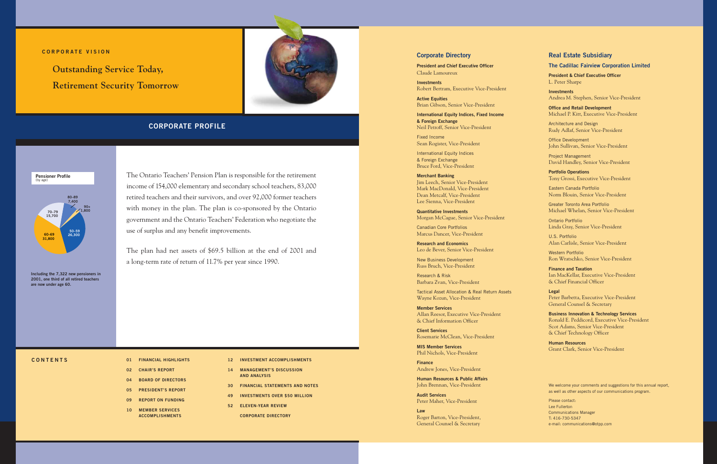## **Corporate Director y**

**President and Chief Executive Officer** Claude Lamoureux

**Investments** Robert Bertram, Executive Vice-President

**Active Equities** Brian Gibson, Senior Vice-President

**International Equity Indices, Fixed Income & Foreign Exchange** Neil Petroff, Senior Vice-President

Fixed Income Sean Rogister, Vice-President

International Equity Indices & Foreign Exchange Bruce Ford, Vice-President

**Merchant Banking**  Jim Leech, Senior Vice-President Mark MacDonald, Vice-President Dean Metcalf, Vice-President Lee Sienna, Vice-President

**Quantitative Investments** Morgan McCague, Senior Vice-President

Canadian Core Portfolios Marcus Dancer, Vice-President

**Research and Economics** Leo de Bever, Senior Vice-President

New Business Development Russ Bruch, Vice-President

Research & Risk Barbara Zvan, Vice-President

Tactical Asset Allocation & Real Return Assets Wayne Kozun, Vice-President

**Member Services** Allan Reesor, Executive Vice-President & Chief Information Officer

**Client Services** Rosemarie McClean, Vice-President

**MIS Member Services** Phil Nichols, Vice-President

**Finance** Andrew Jones, Vice-President

**Human Resources & Public Affairs** John Brennan, Vice-President

**Audit Services** Peter Maher, Vice-President

**Law** Roger Barton, Vice-President, General Counsel & Secretary

## **Real Estate Subsidiar y**

## **The Cadillac Fairview Corporation Limited**

**President & Chief Executive Officer** L. Peter Sharpe

**Investments** Andrea M. Stephen, Senior Vice-President

**Office and Retail Development** Michael P. Kitt, Executive Vice-President

Architecture and Design Rudy Adlaf, Senior Vice-President

Office Development John Sullivan, Senior Vice-President

Project Management David Handley, Senior Vice-President

**Portfolio Operations** Tony Grossi, Executive Vice-President

Eastern Canada Portfolio Norm Blouin, Senior Vice-President

Greater Toronto Area Portfolio Michael Whelan, Senior Vice-President

Ontario Portfolio Linda Gray, Senior Vice-President

U.S. Portfolio Alan Carlisle, Senior Vice-President

Western Portfolio Ron Wratschko, Senior Vice-President

**Finance and Taxation** Ian MacKellar, Executive Vice-President & Chief Financial Officer

**Legal**  Peter Barbetta, Executive Vice-President General Counsel & Secretary

**Business Innovation & Technology Services** Ronald E. Peddicord, Executive Vice-President Scot Adams, Senior Vice-President & Chief Technology Officer

**Human Resources** Grant Clark, Senior Vice-President

We welcome your comments and suggestions for this annual report, as well as other aspects of our communications program.

Please contact: Lee Fullerton Communications Manager T: 416-730-5347 e-mail: communications@otpp.com